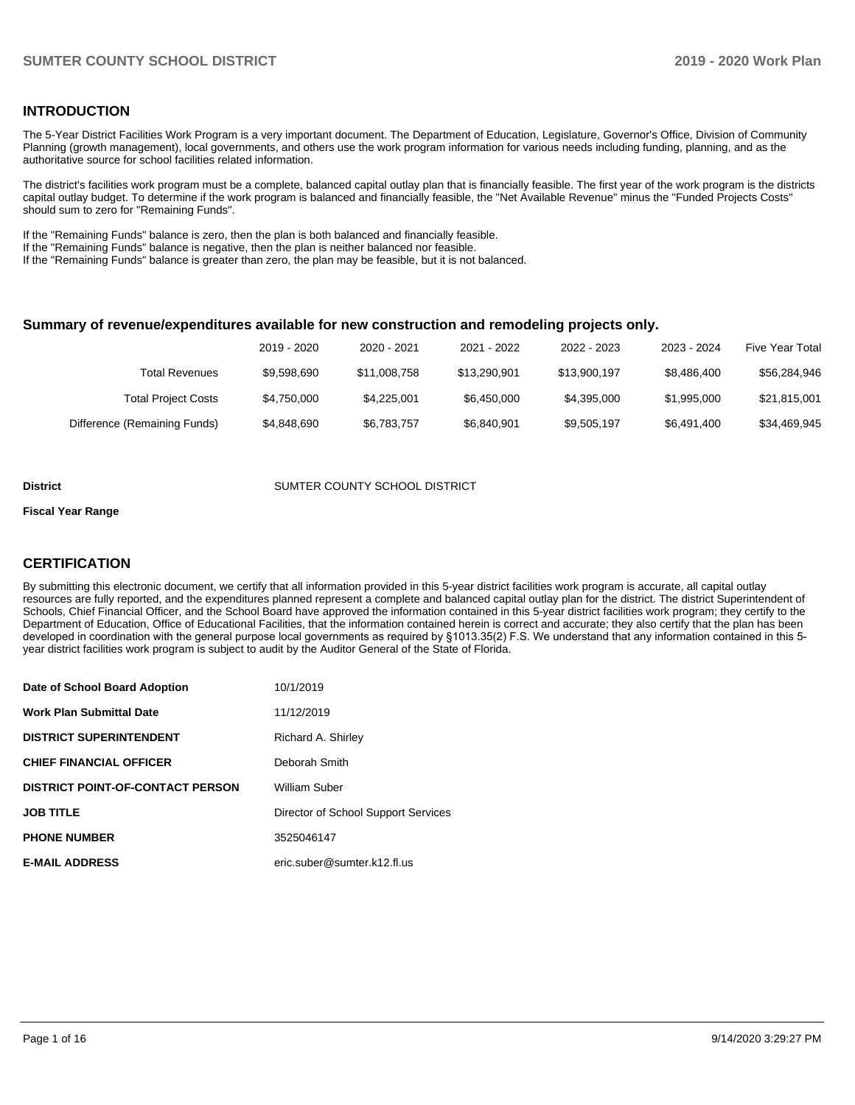#### **INTRODUCTION**

The 5-Year District Facilities Work Program is a very important document. The Department of Education, Legislature, Governor's Office, Division of Community Planning (growth management), local governments, and others use the work program information for various needs including funding, planning, and as the authoritative source for school facilities related information.

The district's facilities work program must be a complete, balanced capital outlay plan that is financially feasible. The first year of the work program is the districts capital outlay budget. To determine if the work program is balanced and financially feasible, the "Net Available Revenue" minus the "Funded Projects Costs" should sum to zero for "Remaining Funds".

If the "Remaining Funds" balance is zero, then the plan is both balanced and financially feasible.

If the "Remaining Funds" balance is negative, then the plan is neither balanced nor feasible.

If the "Remaining Funds" balance is greater than zero, the plan may be feasible, but it is not balanced.

#### **Summary of revenue/expenditures available for new construction and remodeling projects only.**

|                              | 2019 - 2020 | 2020 - 2021  | 2021 - 2022  | 2022 - 2023  | 2023 - 2024 | Five Year Total |
|------------------------------|-------------|--------------|--------------|--------------|-------------|-----------------|
| Total Revenues               | \$9.598.690 | \$11,008,758 | \$13.290.901 | \$13,900,197 | \$8,486,400 | \$56,284,946    |
| <b>Total Project Costs</b>   | \$4,750,000 | \$4,225,001  | \$6,450,000  | \$4,395,000  | \$1.995.000 | \$21,815,001    |
| Difference (Remaining Funds) | \$4,848,690 | \$6,783,757  | \$6,840,901  | \$9,505,197  | \$6,491,400 | \$34,469,945    |

#### **District COUNTER COUNTY SCHOOL DISTRICT**

#### **Fiscal Year Range**

#### **CERTIFICATION**

By submitting this electronic document, we certify that all information provided in this 5-year district facilities work program is accurate, all capital outlay resources are fully reported, and the expenditures planned represent a complete and balanced capital outlay plan for the district. The district Superintendent of Schools, Chief Financial Officer, and the School Board have approved the information contained in this 5-year district facilities work program; they certify to the Department of Education, Office of Educational Facilities, that the information contained herein is correct and accurate; they also certify that the plan has been developed in coordination with the general purpose local governments as required by §1013.35(2) F.S. We understand that any information contained in this 5 year district facilities work program is subject to audit by the Auditor General of the State of Florida.

| Date of School Board Adoption           | 10/1/2019                           |
|-----------------------------------------|-------------------------------------|
| <b>Work Plan Submittal Date</b>         | 11/12/2019                          |
| <b>DISTRICT SUPERINTENDENT</b>          | Richard A. Shirley                  |
| <b>CHIEF FINANCIAL OFFICER</b>          | Deborah Smith                       |
| <b>DISTRICT POINT-OF-CONTACT PERSON</b> | William Suber                       |
| <b>JOB TITLE</b>                        | Director of School Support Services |
| <b>PHONE NUMBER</b>                     | 3525046147                          |
| <b>E-MAIL ADDRESS</b>                   | eric.suber@sumter.k12.fl.us         |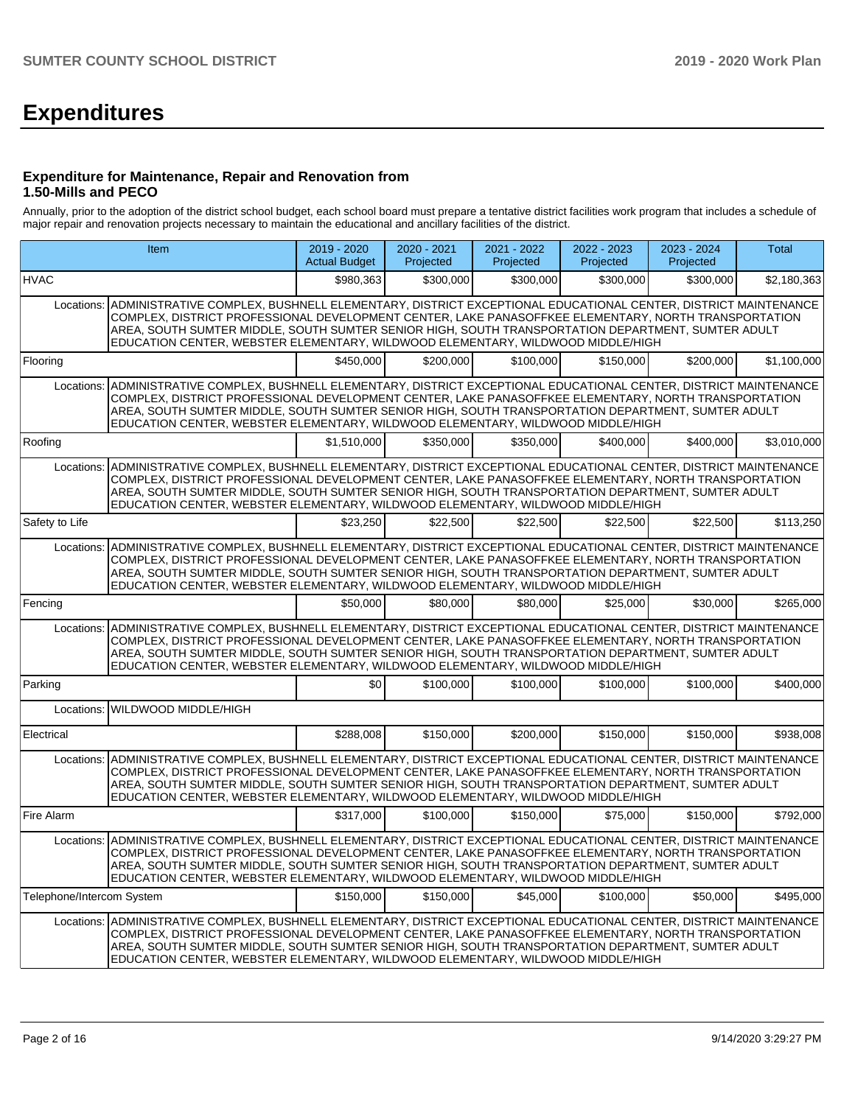# **Expenditures**

#### **Expenditure for Maintenance, Repair and Renovation from 1.50-Mills and PECO**

Annually, prior to the adoption of the district school budget, each school board must prepare a tentative district facilities work program that includes a schedule of major repair and renovation projects necessary to maintain the educational and ancillary facilities of the district.

|                           | Item                                                                                                                                                                                                                                                                                                                                                                                                                     | 2019 - 2020<br><b>Actual Budget</b> | 2020 - 2021<br>Projected | 2021 - 2022<br>Projected | 2022 - 2023<br>Projected | 2023 - 2024<br>Projected | <b>Total</b> |  |  |  |
|---------------------------|--------------------------------------------------------------------------------------------------------------------------------------------------------------------------------------------------------------------------------------------------------------------------------------------------------------------------------------------------------------------------------------------------------------------------|-------------------------------------|--------------------------|--------------------------|--------------------------|--------------------------|--------------|--|--|--|
| <b>HVAC</b>               |                                                                                                                                                                                                                                                                                                                                                                                                                          | \$980,363                           | \$300,000                | \$300,000                | \$300,000                | \$300,000                | \$2,180,363  |  |  |  |
|                           | Locations: ADMINISTRATIVE COMPLEX, BUSHNELL ELEMENTARY, DISTRICT EXCEPTIONAL EDUCATIONAL CENTER, DISTRICT MAINTENANCE<br>COMPLEX, DISTRICT PROFESSIONAL DEVELOPMENT CENTER, LAKE PANASOFFKEE ELEMENTARY, NORTH TRANSPORTATION<br>AREA, SOUTH SUMTER MIDDLE, SOUTH SUMTER SENIOR HIGH, SOUTH TRANSPORTATION DEPARTMENT, SUMTER ADULT<br>EDUCATION CENTER, WEBSTER ELEMENTARY, WILDWOOD ELEMENTARY, WILDWOOD MIDDLE/HIGH   |                                     |                          |                          |                          |                          |              |  |  |  |
| Flooring                  |                                                                                                                                                                                                                                                                                                                                                                                                                          | \$450.000                           | \$200,000                | \$100,000                | \$150,000                | \$200,000                | \$1,100,000  |  |  |  |
| Locations:                | ADMINISTRATIVE COMPLEX, BUSHNELL ELEMENTARY, DISTRICT EXCEPTIONAL EDUCATIONAL CENTER, DISTRICT MAINTENANCE<br>COMPLEX, DISTRICT PROFESSIONAL DEVELOPMENT CENTER, LAKE PANASOFFKEE ELEMENTARY, NORTH TRANSPORTATION<br>AREA, SOUTH SUMTER MIDDLE, SOUTH SUMTER SENIOR HIGH, SOUTH TRANSPORTATION DEPARTMENT, SUMTER ADULT<br>EDUCATION CENTER, WEBSTER ELEMENTARY, WILDWOOD ELEMENTARY, WILDWOOD MIDDLE/HIGH              |                                     |                          |                          |                          |                          |              |  |  |  |
| Roofing                   |                                                                                                                                                                                                                                                                                                                                                                                                                          | \$1,510,000                         | \$350.000                | \$350.000                | \$400,000                | \$400,000                | \$3,010,000  |  |  |  |
| Locations:                | ADMINISTRATIVE COMPLEX, BUSHNELL ELEMENTARY, DISTRICT EXCEPTIONAL EDUCATIONAL CENTER, DISTRICT MAINTENANCE<br>COMPLEX, DISTRICT PROFESSIONAL DEVELOPMENT CENTER, LAKE PANASOFFKEE ELEMENTARY, NORTH TRANSPORTATION<br>AREA, SOUTH SUMTER MIDDLE, SOUTH SUMTER SENIOR HIGH, SOUTH TRANSPORTATION DEPARTMENT, SUMTER ADULT<br>EDUCATION CENTER, WEBSTER ELEMENTARY, WILDWOOD ELEMENTARY, WILDWOOD MIDDLE/HIGH              |                                     |                          |                          |                          |                          |              |  |  |  |
| Safety to Life            |                                                                                                                                                                                                                                                                                                                                                                                                                          | \$23,250                            | \$22,500                 | \$22,500                 | \$22,500                 | \$22,500                 | \$113,250    |  |  |  |
| Locations:                | ADMINISTRATIVE COMPLEX, BUSHNELL ELEMENTARY, DISTRICT EXCEPTIONAL EDUCATIONAL CENTER, DISTRICT MAINTENANCE<br>COMPLEX, DISTRICT PROFESSIONAL DEVELOPMENT CENTER, LAKE PANASOFFKEE ELEMENTARY, NORTH TRANSPORTATION<br>AREA, SOUTH SUMTER MIDDLE, SOUTH SUMTER SENIOR HIGH, SOUTH TRANSPORTATION DEPARTMENT, SUMTER ADULT<br>EDUCATION CENTER, WEBSTER ELEMENTARY, WILDWOOD ELEMENTARY, WILDWOOD MIDDLE/HIGH              |                                     |                          |                          |                          |                          |              |  |  |  |
| Fencing                   |                                                                                                                                                                                                                                                                                                                                                                                                                          | \$50,000                            | \$80,000                 | \$80,000                 | \$25,000                 | \$30,000                 | \$265,000    |  |  |  |
| Locations:                | ADMINISTRATIVE COMPLEX, BUSHNELL ELEMENTARY, DISTRICT EXCEPTIONAL EDUCATIONAL CENTER, DISTRICT MAINTENANCE<br>COMPLEX, DISTRICT PROFESSIONAL DEVELOPMENT CENTER, LAKE PANASOFFKEE ELEMENTARY, NORTH TRANSPORTATION<br>AREA, SOUTH SUMTER MIDDLE, SOUTH SUMTER SENIOR HIGH, SOUTH TRANSPORTATION DEPARTMENT, SUMTER ADULT<br>EDUCATION CENTER, WEBSTER ELEMENTARY, WILDWOOD ELEMENTARY, WILDWOOD MIDDLE/HIGH              |                                     |                          |                          |                          |                          |              |  |  |  |
| Parking                   |                                                                                                                                                                                                                                                                                                                                                                                                                          | \$0                                 | \$100,000                | \$100,000                | \$100,000                | \$100,000                | \$400,000    |  |  |  |
| Locations:                | WILDWOOD MIDDLE/HIGH                                                                                                                                                                                                                                                                                                                                                                                                     |                                     |                          |                          |                          |                          |              |  |  |  |
| Electrical                |                                                                                                                                                                                                                                                                                                                                                                                                                          | \$288,008                           | \$150,000                | \$200,000                | \$150,000                | \$150,000                | \$938,008    |  |  |  |
|                           | Locations: ADMINISTRATIVE COMPLEX, BUSHNELL ELEMENTARY, DISTRICT EXCEPTIONAL EDUCATIONAL CENTER, DISTRICT MAINTENANCE<br>COMPLEX, DISTRICT PROFESSIONAL DEVELOPMENT CENTER, LAKE PANASOFFKEE ELEMENTARY, NORTH TRANSPORTATION<br>AREA, SOUTH SUMTER MIDDLE, SOUTH SUMTER SENIOR HIGH, SOUTH TRANSPORTATION DEPARTMENT, SUMTER ADULT<br>EDUCATION CENTER, WEBSTER ELEMENTARY, WILDWOOD ELEMENTARY, WILDWOOD MIDDLE/HIGH   |                                     |                          |                          |                          |                          |              |  |  |  |
| Fire Alarm                |                                                                                                                                                                                                                                                                                                                                                                                                                          | \$317,000                           | \$100,000                | \$150,000                | \$75,000                 | \$150,000                | \$792,000    |  |  |  |
|                           | Locations:   ADMINISTRATIVE COMPLEX, BUSHNELL ELEMENTARY, DISTRICT EXCEPTIONAL EDUCATIONAL CENTER, DISTRICT MAINTENANCE<br>COMPLEX, DISTRICT PROFESSIONAL DEVELOPMENT CENTER, LAKE PANASOFFKEE ELEMENTARY, NORTH TRANSPORTATION<br>AREA, SOUTH SUMTER MIDDLE, SOUTH SUMTER SENIOR HIGH, SOUTH TRANSPORTATION DEPARTMENT, SUMTER ADULT<br>EDUCATION CENTER, WEBSTER ELEMENTARY, WILDWOOD ELEMENTARY, WILDWOOD MIDDLE/HIGH |                                     |                          |                          |                          |                          |              |  |  |  |
| Telephone/Intercom System |                                                                                                                                                                                                                                                                                                                                                                                                                          | \$150,000                           | \$150,000                | \$45,000                 | \$100,000                | \$50,000                 | \$495,000    |  |  |  |
|                           | Locations: ADMINISTRATIVE COMPLEX, BUSHNELL ELEMENTARY, DISTRICT EXCEPTIONAL EDUCATIONAL CENTER, DISTRICT MAINTENANCE<br>COMPLEX, DISTRICT PROFESSIONAL DEVELOPMENT CENTER, LAKE PANASOFFKEE ELEMENTARY, NORTH TRANSPORTATION<br>AREA, SOUTH SUMTER MIDDLE, SOUTH SUMTER SENIOR HIGH, SOUTH TRANSPORTATION DEPARTMENT, SUMTER ADULT<br>EDUCATION CENTER, WEBSTER ELEMENTARY, WILDWOOD ELEMENTARY, WILDWOOD MIDDLE/HIGH   |                                     |                          |                          |                          |                          |              |  |  |  |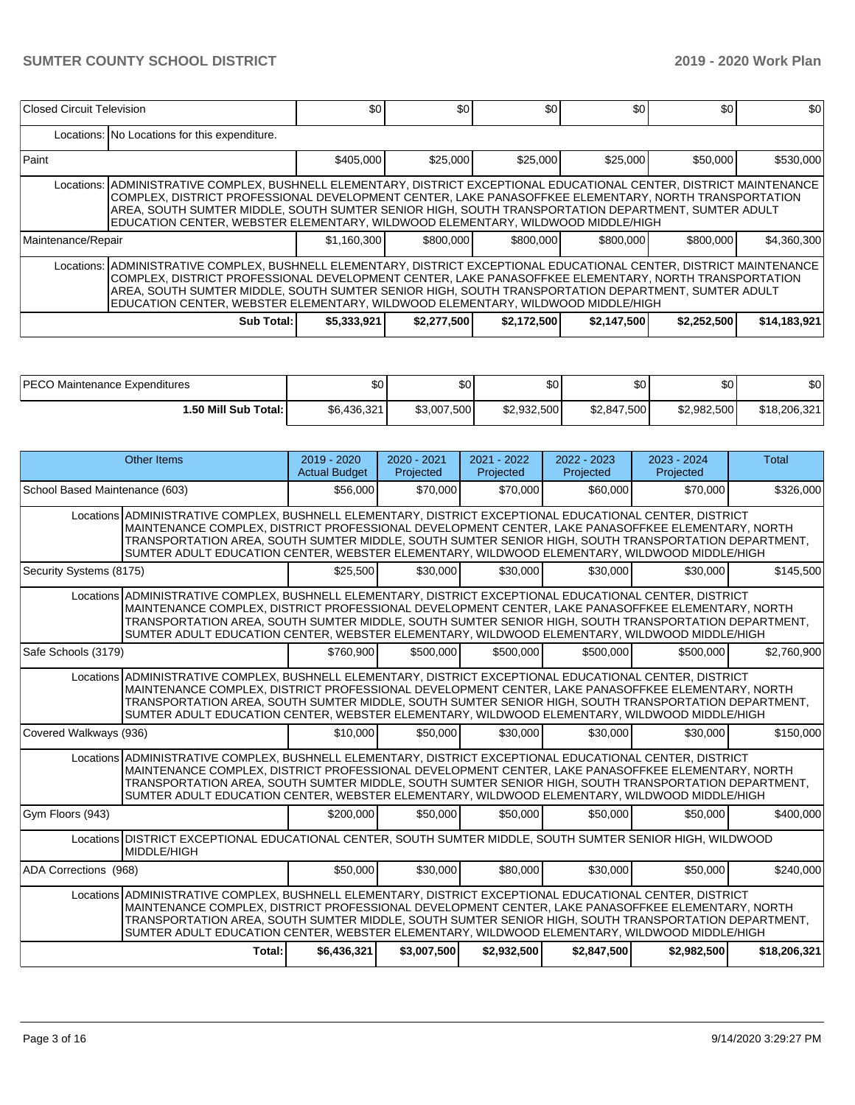| Closed Circuit Television                                                                                                                                                                                                                                                                                                                                                                                               |                                                                                                                                                                                                                                                                                                                                                                                                                         | \$0 <sub>1</sub> | \$0         | \$0         | \$0         | \$0         | \$0          |  |  |  |
|-------------------------------------------------------------------------------------------------------------------------------------------------------------------------------------------------------------------------------------------------------------------------------------------------------------------------------------------------------------------------------------------------------------------------|-------------------------------------------------------------------------------------------------------------------------------------------------------------------------------------------------------------------------------------------------------------------------------------------------------------------------------------------------------------------------------------------------------------------------|------------------|-------------|-------------|-------------|-------------|--------------|--|--|--|
|                                                                                                                                                                                                                                                                                                                                                                                                                         | Locations: No Locations for this expenditure.                                                                                                                                                                                                                                                                                                                                                                           |                  |             |             |             |             |              |  |  |  |
| Paint                                                                                                                                                                                                                                                                                                                                                                                                                   |                                                                                                                                                                                                                                                                                                                                                                                                                         | \$405,000        | \$25,000    | \$25,000    | \$25,000    | \$50,000    | \$530,000    |  |  |  |
|                                                                                                                                                                                                                                                                                                                                                                                                                         | Locations:  ADMINISTRATIVE COMPLEX, BUSHNELL ELEMENTARY, DISTRICT EXCEPTIONAL EDUCATIONAL CENTER, DISTRICT MAINTENANCE<br>COMPLEX, DISTRICT PROFESSIONAL DEVELOPMENT CENTER, LAKE PANASOFFKEE ELEMENTARY, NORTH TRANSPORTATION<br>AREA, SOUTH SUMTER MIDDLE, SOUTH SUMTER SENIOR HIGH, SOUTH TRANSPORTATION DEPARTMENT, SUMTER ADULT<br>EDUCATION CENTER, WEBSTER ELEMENTARY, WILDWOOD ELEMENTARY, WILDWOOD MIDDLE/HIGH |                  |             |             |             |             |              |  |  |  |
| Maintenance/Repair                                                                                                                                                                                                                                                                                                                                                                                                      |                                                                                                                                                                                                                                                                                                                                                                                                                         | \$1.160.300      | \$800,000   | \$800,000   | \$800,000   | \$800,000   | \$4.360.300  |  |  |  |
| Locations:  ADMINISTRATIVE COMPLEX, BUSHNELL ELEMENTARY, DISTRICT EXCEPTIONAL EDUCATIONAL CENTER, DISTRICT MAINTENANCE<br>COMPLEX, DISTRICT PROFESSIONAL DEVELOPMENT CENTER, LAKE PANASOFFKEE ELEMENTARY, NORTH TRANSPORTATION<br>AREA, SOUTH SUMTER MIDDLE, SOUTH SUMTER SENIOR HIGH, SOUTH TRANSPORTATION DEPARTMENT, SUMTER ADULT<br>EDUCATION CENTER, WEBSTER ELEMENTARY, WILDWOOD ELEMENTARY, WILDWOOD MIDDLE/HIGH |                                                                                                                                                                                                                                                                                                                                                                                                                         |                  |             |             |             |             |              |  |  |  |
|                                                                                                                                                                                                                                                                                                                                                                                                                         | <b>Sub Total:</b>                                                                                                                                                                                                                                                                                                                                                                                                       | \$5,333,921      | \$2,277,500 | \$2,172,500 | \$2,147,500 | \$2,252,500 | \$14,183,921 |  |  |  |

| <b>IPECO Maintenance Expenditures</b> | \$0         | n r<br>Ψ∪   | \$0         | \$С         | \$0         | \$0          |
|---------------------------------------|-------------|-------------|-------------|-------------|-------------|--------------|
| 1.50 Mill Sub Total: I                | \$6,436,321 | \$3,007,500 | \$2,932,500 | \$2,847,500 | \$2,982,500 | \$18,206,321 |

| <b>Other Items</b>                                                                                                                                                                                                                                                                                                                                                                                                    | 2019 - 2020<br><b>Actual Budget</b> | 2020 - 2021<br>Projected | 2021 - 2022<br>Projected | 2022 - 2023<br>Projected | 2023 - 2024<br>Projected | <b>Total</b> |
|-----------------------------------------------------------------------------------------------------------------------------------------------------------------------------------------------------------------------------------------------------------------------------------------------------------------------------------------------------------------------------------------------------------------------|-------------------------------------|--------------------------|--------------------------|--------------------------|--------------------------|--------------|
| School Based Maintenance (603)                                                                                                                                                                                                                                                                                                                                                                                        | \$56,000                            | \$70,000                 | \$70,000                 | \$60,000                 | \$70,000                 | \$326,000    |
| Locations ADMINISTRATIVE COMPLEX, BUSHNELL ELEMENTARY, DISTRICT EXCEPTIONAL EDUCATIONAL CENTER, DISTRICT<br>MAINTENANCE COMPLEX, DISTRICT PROFESSIONAL DEVELOPMENT CENTER, LAKE PANASOFFKEE ELEMENTARY, NORTH<br>TRANSPORTATION AREA, SOUTH SUMTER MIDDLE, SOUTH SUMTER SENIOR HIGH, SOUTH TRANSPORTATION DEPARTMENT,<br>SUMTER ADULT EDUCATION CENTER, WEBSTER ELEMENTARY, WILDWOOD ELEMENTARY, WILDWOOD MIDDLE/HIGH |                                     |                          |                          |                          |                          |              |
| Security Systems (8175)                                                                                                                                                                                                                                                                                                                                                                                               | \$25,500                            | \$30,000                 | \$30,000                 | \$30,000                 | \$30,000                 | \$145,500    |
| Locations ADMINISTRATIVE COMPLEX, BUSHNELL ELEMENTARY, DISTRICT EXCEPTIONAL EDUCATIONAL CENTER, DISTRICT<br>MAINTENANCE COMPLEX, DISTRICT PROFESSIONAL DEVELOPMENT CENTER, LAKE PANASOFFKEE ELEMENTARY, NORTH<br>TRANSPORTATION AREA, SOUTH SUMTER MIDDLE, SOUTH SUMTER SENIOR HIGH, SOUTH TRANSPORTATION DEPARTMENT,<br>SUMTER ADULT EDUCATION CENTER, WEBSTER ELEMENTARY, WILDWOOD ELEMENTARY, WILDWOOD MIDDLE/HIGH |                                     |                          |                          |                          |                          |              |
| Safe Schools (3179)                                                                                                                                                                                                                                                                                                                                                                                                   | \$760,900                           | \$500,000                | \$500,000                | \$500.000                | \$500,000                | \$2,760,900  |
| Locations ADMINISTRATIVE COMPLEX, BUSHNELL ELEMENTARY, DISTRICT EXCEPTIONAL EDUCATIONAL CENTER, DISTRICT<br>MAINTENANCE COMPLEX, DISTRICT PROFESSIONAL DEVELOPMENT CENTER, LAKE PANASOFFKEE ELEMENTARY, NORTH<br>TRANSPORTATION AREA, SOUTH SUMTER MIDDLE, SOUTH SUMTER SENIOR HIGH, SOUTH TRANSPORTATION DEPARTMENT,<br>SUMTER ADULT EDUCATION CENTER, WEBSTER ELEMENTARY, WILDWOOD ELEMENTARY, WILDWOOD MIDDLE/HIGH |                                     |                          |                          |                          |                          |              |
| Covered Walkways (936)                                                                                                                                                                                                                                                                                                                                                                                                | \$10,000                            | \$50,000                 | \$30,000                 | \$30,000                 | \$30,000                 | \$150,000    |
| Locations ADMINISTRATIVE COMPLEX, BUSHNELL ELEMENTARY, DISTRICT EXCEPTIONAL EDUCATIONAL CENTER, DISTRICT<br>MAINTENANCE COMPLEX, DISTRICT PROFESSIONAL DEVELOPMENT CENTER, LAKE PANASOFFKEE ELEMENTARY, NORTH<br>TRANSPORTATION AREA, SOUTH SUMTER MIDDLE, SOUTH SUMTER SENIOR HIGH, SOUTH TRANSPORTATION DEPARTMENT,<br>SUMTER ADULT EDUCATION CENTER, WEBSTER ELEMENTARY, WILDWOOD ELEMENTARY, WILDWOOD MIDDLE/HIGH |                                     |                          |                          |                          |                          |              |
| Gym Floors (943)                                                                                                                                                                                                                                                                                                                                                                                                      | \$200,000                           | \$50,000                 | \$50,000                 | \$50,000                 | \$50,000                 | \$400,000    |
| Locations DISTRICT EXCEPTIONAL EDUCATIONAL CENTER, SOUTH SUMTER MIDDLE, SOUTH SUMTER SENIOR HIGH, WILDWOOD<br>MIDDLE/HIGH                                                                                                                                                                                                                                                                                             |                                     |                          |                          |                          |                          |              |
| ADA Corrections (968)                                                                                                                                                                                                                                                                                                                                                                                                 | \$50,000                            | \$30,000                 | \$80,000                 | \$30,000                 | \$50,000                 | \$240,000    |
| Locations ADMINISTRATIVE COMPLEX, BUSHNELL ELEMENTARY, DISTRICT EXCEPTIONAL EDUCATIONAL CENTER, DISTRICT<br>MAINTENANCE COMPLEX, DISTRICT PROFESSIONAL DEVELOPMENT CENTER, LAKE PANASOFFKEE ELEMENTARY, NORTH<br>TRANSPORTATION AREA, SOUTH SUMTER MIDDLE, SOUTH SUMTER SENIOR HIGH, SOUTH TRANSPORTATION DEPARTMENT,<br>SUMTER ADULT EDUCATION CENTER, WEBSTER ELEMENTARY, WILDWOOD ELEMENTARY, WILDWOOD MIDDLE/HIGH |                                     |                          |                          |                          |                          |              |
| Total:                                                                                                                                                                                                                                                                                                                                                                                                                | \$6,436,321                         | \$3,007,500              | \$2,932,500              | \$2,847,500              | \$2,982,500              | \$18,206,321 |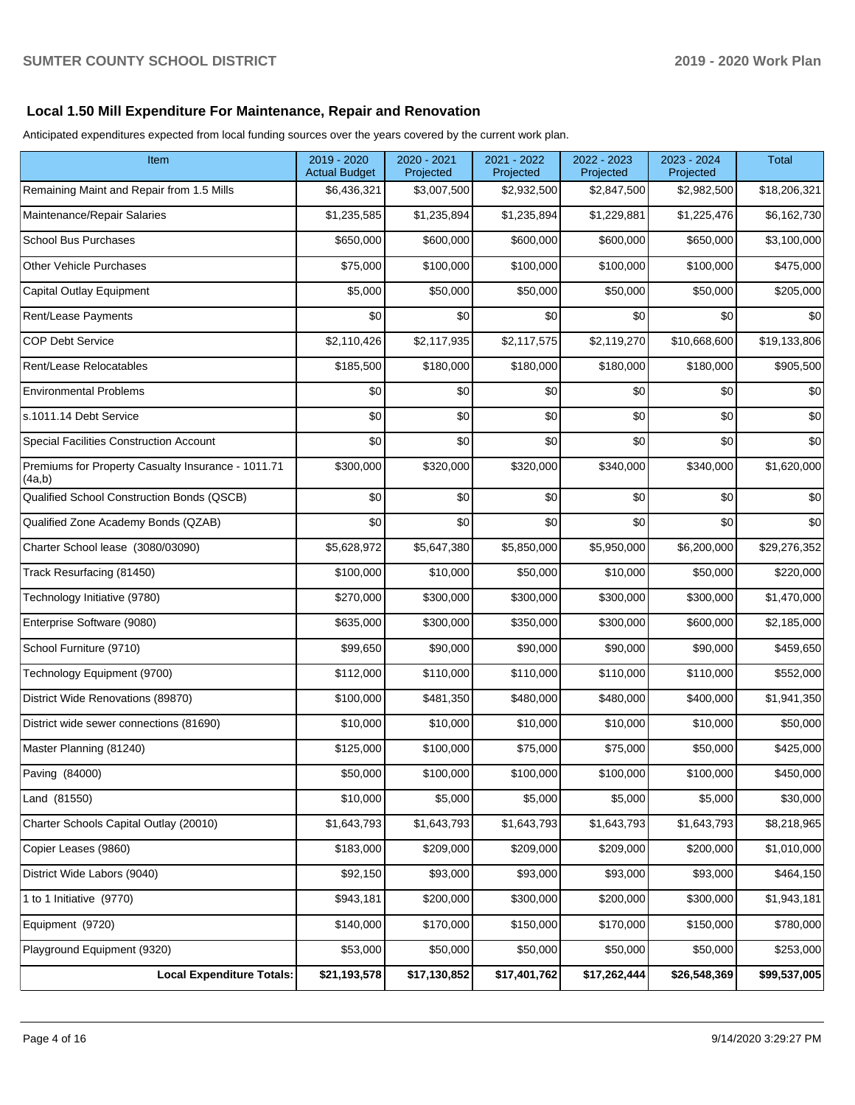### **Local 1.50 Mill Expenditure For Maintenance, Repair and Renovation**

Anticipated expenditures expected from local funding sources over the years covered by the current work plan.

| Item                                                         | 2019 - 2020<br><b>Actual Budget</b> | 2020 - 2021<br>Projected | 2021 - 2022<br>Projected | 2022 - 2023<br>Projected | 2023 - 2024<br>Projected | <b>Total</b> |
|--------------------------------------------------------------|-------------------------------------|--------------------------|--------------------------|--------------------------|--------------------------|--------------|
| Remaining Maint and Repair from 1.5 Mills                    | \$6,436,321                         | \$3,007,500              | \$2,932,500              | \$2,847,500              | \$2,982,500              | \$18,206,321 |
| Maintenance/Repair Salaries                                  | \$1,235,585                         | \$1,235,894              | \$1,235,894              | \$1,229,881              | \$1,225,476              | \$6,162,730  |
| <b>School Bus Purchases</b>                                  | \$650,000                           | \$600,000                | \$600,000                | \$600,000                | \$650,000                | \$3,100,000  |
| <b>Other Vehicle Purchases</b>                               | \$75,000                            | \$100,000                | \$100,000                | \$100,000                | \$100,000                | \$475,000    |
| <b>Capital Outlay Equipment</b>                              | \$5,000                             | \$50,000                 | \$50,000                 | \$50,000                 | \$50,000                 | \$205,000    |
| Rent/Lease Payments                                          | \$0                                 | \$0                      | \$0                      | \$0                      | \$0                      | \$0          |
| <b>COP Debt Service</b>                                      | \$2,110,426                         | \$2,117,935              | \$2,117,575              | \$2,119,270              | \$10,668,600             | \$19,133,806 |
| Rent/Lease Relocatables                                      | \$185,500                           | \$180,000                | \$180,000                | \$180,000                | \$180,000                | \$905,500    |
| <b>Environmental Problems</b>                                | \$0                                 | \$0                      | \$0                      | \$0                      | \$0                      | \$0          |
| s.1011.14 Debt Service                                       | \$0                                 | \$0                      | \$0                      | \$0                      | \$0                      | \$0          |
| Special Facilities Construction Account                      | \$0                                 | \$0                      | \$0                      | \$0                      | \$0                      | \$0          |
| Premiums for Property Casualty Insurance - 1011.71<br>(4a,b) | \$300,000                           | \$320,000                | \$320,000                | \$340,000                | \$340,000                | \$1,620,000  |
| Qualified School Construction Bonds (QSCB)                   | \$0                                 | \$0                      | \$0                      | \$0                      | \$0                      | \$0          |
| Qualified Zone Academy Bonds (QZAB)                          | \$0                                 | \$0                      | \$0                      | \$0                      | \$0                      | \$0          |
| Charter School lease (3080/03090)                            | \$5,628,972                         | \$5,647,380              | \$5,850,000              | \$5,950,000              | \$6,200,000              | \$29,276,352 |
| Track Resurfacing (81450)                                    | \$100,000                           | \$10,000                 | \$50,000                 | \$10,000                 | \$50,000                 | \$220,000    |
| Technology Initiative (9780)                                 | \$270,000                           | \$300,000                | \$300,000                | \$300,000                | \$300,000                | \$1,470,000  |
| Enterprise Software (9080)                                   | \$635,000                           | \$300,000                | \$350,000                | \$300,000                | \$600,000                | \$2,185,000  |
| School Furniture (9710)                                      | \$99,650                            | \$90,000                 | \$90,000                 | \$90,000                 | \$90,000                 | \$459,650    |
| Technology Equipment (9700)                                  | \$112,000                           | \$110,000                | \$110,000                | \$110,000                | \$110,000                | \$552,000    |
| District Wide Renovations (89870)                            | \$100,000                           | \$481,350                | \$480,000                | \$480,000                | \$400,000                | \$1,941,350  |
| District wide sewer connections (81690)                      | \$10,000                            | \$10,000                 | \$10,000                 | \$10,000                 | \$10,000                 | \$50,000     |
| Master Planning (81240)                                      | \$125,000                           | \$100,000                | \$75,000                 | \$75,000                 | \$50,000                 | \$425,000    |
| Paving (84000)                                               | \$50,000                            | \$100,000                | \$100,000                | \$100,000                | \$100,000                | \$450,000    |
| Land (81550)                                                 | \$10,000                            | \$5,000                  | \$5,000                  | \$5,000                  | \$5,000                  | \$30,000     |
| Charter Schools Capital Outlay (20010)                       | \$1,643,793                         | \$1,643,793              | \$1,643,793              | \$1,643,793              | \$1,643,793              | \$8,218,965  |
| Copier Leases (9860)                                         | \$183,000                           | \$209,000                | \$209,000                | \$209,000                | \$200,000                | \$1,010,000  |
| District Wide Labors (9040)                                  | \$92,150                            | \$93,000                 | \$93,000                 | \$93,000                 | \$93,000                 | \$464,150    |
| 1 to 1 Initiative (9770)                                     | \$943,181                           | \$200,000                | \$300,000                | \$200,000                | \$300,000                | \$1,943,181  |
| Equipment (9720)                                             | \$140,000                           | \$170,000                | \$150,000                | \$170,000                | \$150,000                | \$780,000    |
| Playground Equipment (9320)                                  | \$53,000                            | \$50,000                 | \$50,000                 | \$50,000                 | \$50,000                 | \$253,000    |
| <b>Local Expenditure Totals:</b>                             | \$21,193,578                        | \$17,130,852             | \$17,401,762             | \$17,262,444             | \$26,548,369             | \$99,537,005 |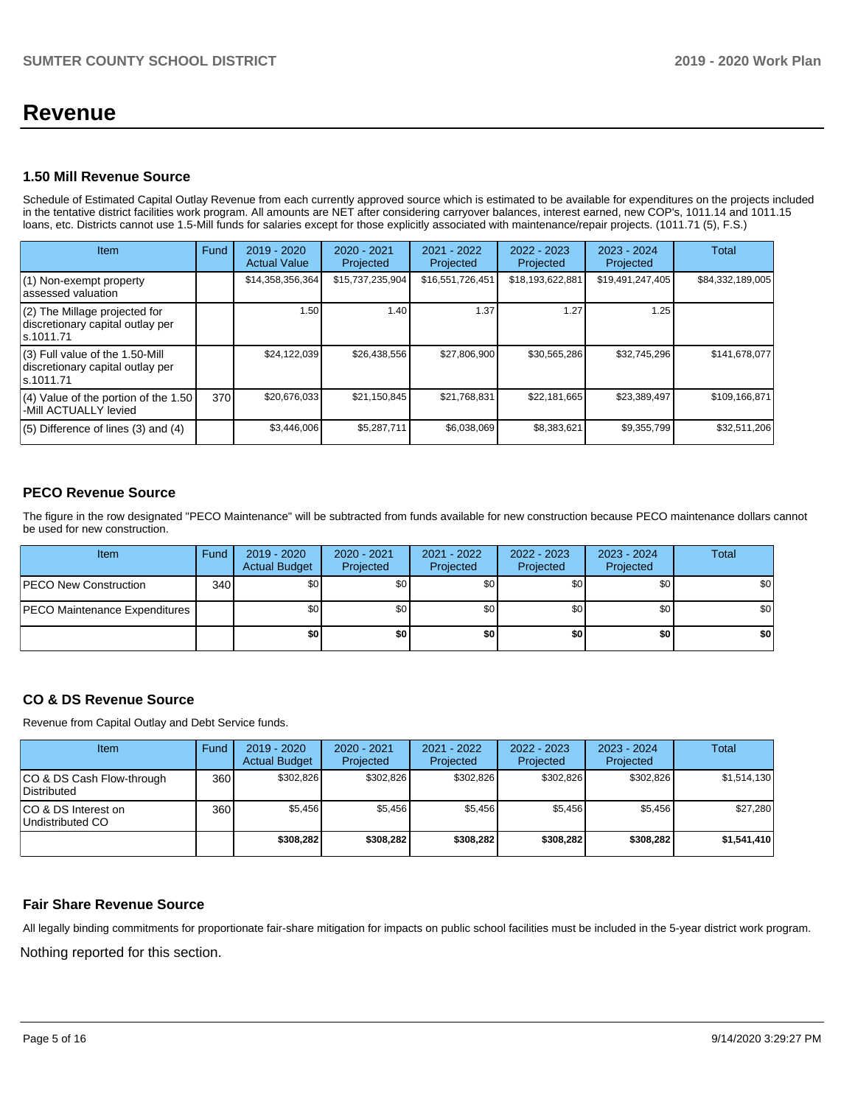# **Revenue**

#### **1.50 Mill Revenue Source**

Schedule of Estimated Capital Outlay Revenue from each currently approved source which is estimated to be available for expenditures on the projects included in the tentative district facilities work program. All amounts are NET after considering carryover balances, interest earned, new COP's, 1011.14 and 1011.15 loans, etc. Districts cannot use 1.5-Mill funds for salaries except for those explicitly associated with maintenance/repair projects. (1011.71 (5), F.S.)

| Item                                                                                | Fund | $2019 - 2020$<br><b>Actual Value</b> | 2020 - 2021<br>Projected | 2021 - 2022<br>Projected | $2022 - 2023$<br>Projected | 2023 - 2024<br>Projected | Total            |
|-------------------------------------------------------------------------------------|------|--------------------------------------|--------------------------|--------------------------|----------------------------|--------------------------|------------------|
| (1) Non-exempt property<br>assessed valuation                                       |      | \$14,358,356,364                     | \$15,737,235,904         | \$16,551,726,451         | \$18,193,622,881           | \$19,491,247,405         | \$84,332,189,005 |
| (2) The Millage projected for<br>discretionary capital outlay per<br>ls.1011.71     |      | 1.50                                 | 1.40                     | 1.37                     | 1.27                       | 1.25                     |                  |
| $(3)$ Full value of the 1.50-Mill<br>discretionary capital outlay per<br>ls.1011.71 |      | \$24,122,039                         | \$26,438,556             | \$27,806,900             | \$30,565,286               | \$32,745,296             | \$141,678,077    |
| $(4)$ Value of the portion of the 1.50<br>-Mill ACTUALLY levied                     | 370  | \$20,676,033                         | \$21,150,845             | \$21,768,831             | \$22,181,665               | \$23,389,497             | \$109,166,871    |
| $(5)$ Difference of lines $(3)$ and $(4)$                                           |      | \$3,446,006                          | \$5,287,711              | \$6,038,069              | \$8,383,621                | \$9,355,799              | \$32,511,206     |

## **PECO Revenue Source**

The figure in the row designated "PECO Maintenance" will be subtracted from funds available for new construction because PECO maintenance dollars cannot be used for new construction.

| <b>Item</b>                          | Fund             | 2019 - 2020<br><b>Actual Budget</b> | $2020 - 2021$<br>Projected | 2021 - 2022<br>Projected | $2022 - 2023$<br>Projected | 2023 - 2024<br>Projected | <b>Total</b>     |
|--------------------------------------|------------------|-------------------------------------|----------------------------|--------------------------|----------------------------|--------------------------|------------------|
| <b>IPECO New Construction</b>        | 340 <sup>1</sup> | \$0 <sub>1</sub>                    | \$0 <sub>1</sub>           | \$0                      | \$0 <sub>1</sub>           | \$0                      | \$0              |
| <b>PECO Maintenance Expenditures</b> |                  | \$0                                 | \$0 <sub>1</sub>           | \$0                      | \$0 <sub>1</sub>           | \$0                      | \$0 <sub>1</sub> |
|                                      |                  | \$0 I                               | \$0                        | \$0                      | \$0                        | \$0                      | \$0              |

## **CO & DS Revenue Source**

Revenue from Capital Outlay and Debt Service funds.

| <b>Item</b>                                     | Fund | $2019 - 2020$<br><b>Actual Budget</b> | $2020 - 2021$<br>Projected | 2021 - 2022<br>Projected | $2022 - 2023$<br>Projected | $2023 - 2024$<br>Projected | Total       |
|-------------------------------------------------|------|---------------------------------------|----------------------------|--------------------------|----------------------------|----------------------------|-------------|
| CO & DS Cash Flow-through<br><b>Distributed</b> | 360  | \$302,826                             | \$302,826                  | \$302,826                | \$302.826                  | \$302,826                  | \$1,514,130 |
| CO & DS Interest on<br>Undistributed CO         | 360  | \$5,456                               | \$5.456                    | \$5,456                  | \$5.456                    | \$5,456                    | \$27,280    |
|                                                 |      | \$308,282                             | \$308,282                  | \$308,282                | \$308,282                  | \$308,282                  | \$1,541,410 |

#### **Fair Share Revenue Source**

Nothing reported for this section. All legally binding commitments for proportionate fair-share mitigation for impacts on public school facilities must be included in the 5-year district work program.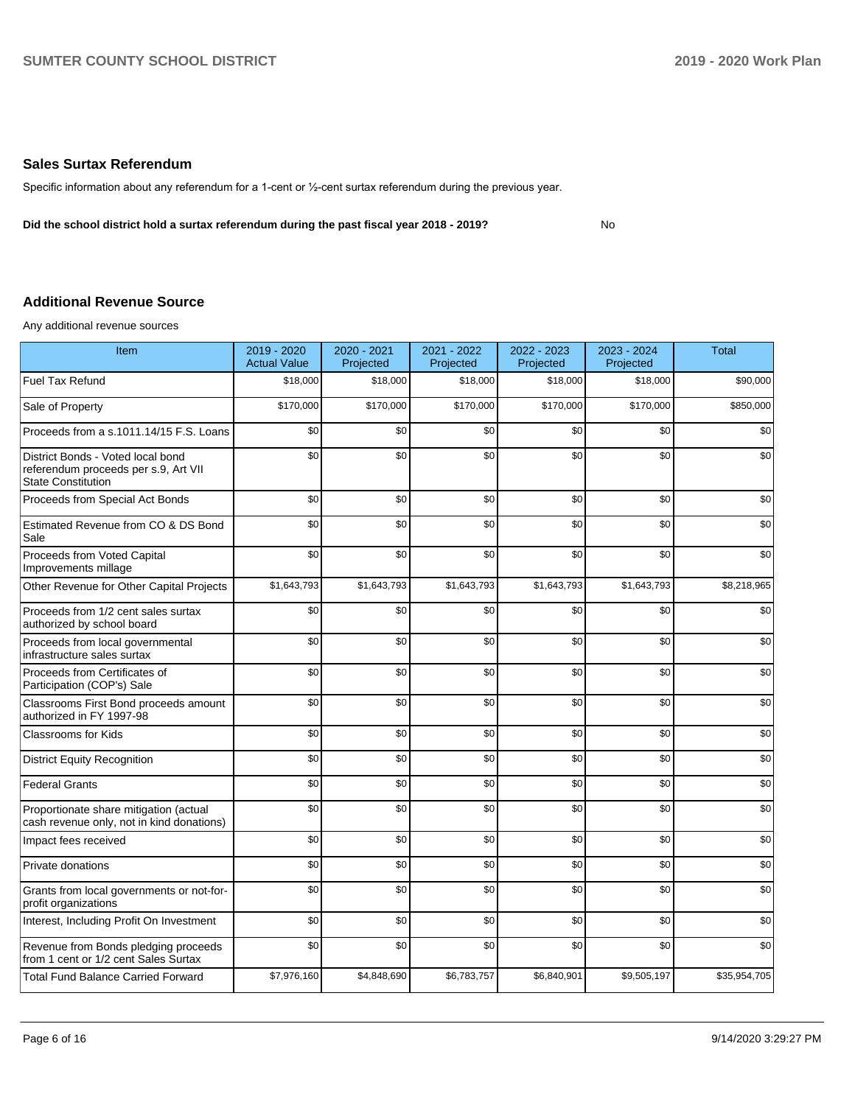#### **Sales Surtax Referendum**

Specific information about any referendum for a 1-cent or ½-cent surtax referendum during the previous year.

**Did the school district hold a surtax referendum during the past fiscal year 2018 - 2019?**

No

## **Additional Revenue Source**

Any additional revenue sources

| Item                                                                                                   | 2019 - 2020<br><b>Actual Value</b> | 2020 - 2021<br>Projected | 2021 - 2022<br>Projected | 2022 - 2023<br>Projected | 2023 - 2024<br>Projected | <b>Total</b> |
|--------------------------------------------------------------------------------------------------------|------------------------------------|--------------------------|--------------------------|--------------------------|--------------------------|--------------|
| <b>Fuel Tax Refund</b>                                                                                 | \$18,000                           | \$18,000                 | \$18,000                 | \$18,000                 | \$18,000                 | \$90,000     |
| Sale of Property                                                                                       | \$170,000                          | \$170,000                | \$170,000                | \$170,000                | \$170,000                | \$850,000    |
| Proceeds from a s.1011.14/15 F.S. Loans                                                                | \$0                                | \$0                      | \$0                      | \$0                      | \$0                      | \$0          |
| District Bonds - Voted local bond<br>referendum proceeds per s.9, Art VII<br><b>State Constitution</b> | \$0                                | \$0                      | \$0                      | \$0                      | \$0                      | \$0          |
| Proceeds from Special Act Bonds                                                                        | \$0                                | \$0                      | \$0                      | \$0                      | \$0                      | \$0          |
| Estimated Revenue from CO & DS Bond<br>Sale                                                            | \$0                                | \$0                      | \$0                      | \$0                      | \$0                      | \$0          |
| Proceeds from Voted Capital<br>Improvements millage                                                    | \$0                                | \$0                      | \$0                      | \$0                      | \$0                      | \$0          |
| Other Revenue for Other Capital Projects                                                               | \$1,643,793                        | \$1,643,793              | \$1,643,793              | \$1,643,793              | \$1,643,793              | \$8,218,965  |
| Proceeds from 1/2 cent sales surtax<br>authorized by school board                                      | \$0                                | \$0                      | \$0                      | \$0                      | \$0                      | \$0          |
| Proceeds from local governmental<br>infrastructure sales surtax                                        | \$0                                | \$0                      | \$0                      | \$0                      | \$0                      | \$0          |
| Proceeds from Certificates of<br>Participation (COP's) Sale                                            | \$0                                | \$0                      | \$0                      | \$0                      | \$0                      | \$0          |
| Classrooms First Bond proceeds amount<br>authorized in FY 1997-98                                      | \$0                                | \$0                      | \$0                      | \$0                      | \$0                      | \$0          |
| <b>Classrooms for Kids</b>                                                                             | \$0                                | \$0                      | \$0                      | \$0                      | \$0                      | \$0          |
| <b>District Equity Recognition</b>                                                                     | \$0                                | \$0                      | \$0                      | \$0                      | \$0                      | \$0          |
| <b>Federal Grants</b>                                                                                  | \$0                                | \$0                      | \$0                      | \$0                      | \$0                      | \$0          |
| Proportionate share mitigation (actual<br>cash revenue only, not in kind donations)                    | \$0                                | \$0                      | \$0                      | \$0                      | \$0                      | \$0          |
| Impact fees received                                                                                   | \$0                                | \$0                      | \$0                      | \$0                      | \$0                      | \$0          |
| Private donations                                                                                      | \$0                                | \$0                      | \$0                      | \$0                      | \$0                      | \$0          |
| Grants from local governments or not-for-<br>profit organizations                                      | \$0                                | \$0                      | \$0                      | \$0                      | \$0                      | \$0          |
| Interest, Including Profit On Investment                                                               | \$0                                | \$0                      | \$0                      | \$0                      | \$0                      | \$0          |
| Revenue from Bonds pledging proceeds<br>from 1 cent or 1/2 cent Sales Surtax                           | \$0                                | \$0                      | \$0                      | \$0                      | \$0                      | \$0          |
| <b>Total Fund Balance Carried Forward</b>                                                              | \$7,976,160                        | \$4,848,690              | \$6,783,757              | \$6,840,901              | \$9,505,197              | \$35,954,705 |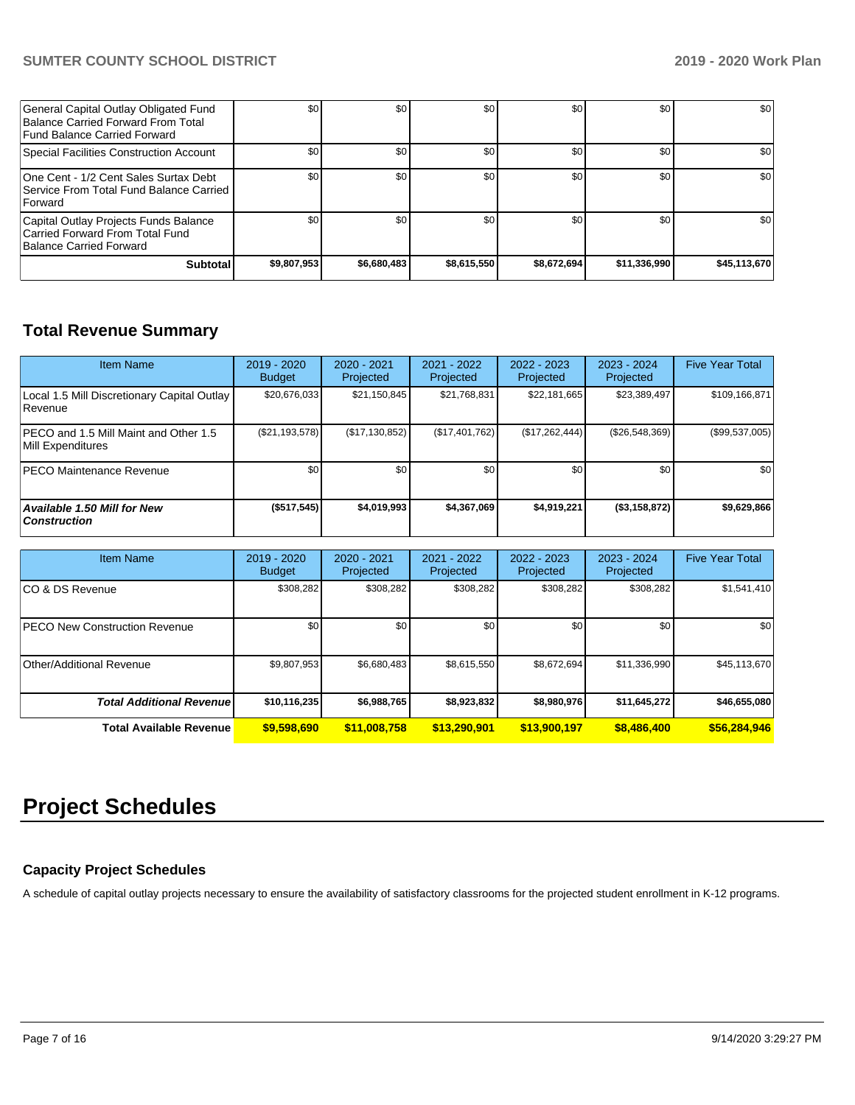## **SUMTER COUNTY SCHOOL DISTRICT 2019 - 2020 Work Plan**

| General Capital Outlay Obligated Fund<br>Balance Carried Forward From Total<br>Fund Balance Carried Forward | \$0         | \$0         | \$0         | \$0         | \$0 <sub>1</sub> | \$0          |
|-------------------------------------------------------------------------------------------------------------|-------------|-------------|-------------|-------------|------------------|--------------|
| Special Facilities Construction Account                                                                     | \$0         | \$0         | \$0         | \$0         | \$0              | \$0          |
| One Cent - 1/2 Cent Sales Surtax Debt<br>Service From Total Fund Balance Carried I<br><b>Forward</b>        | \$0         | \$0         | \$0         | \$0         | \$0 <sub>1</sub> | \$0          |
| Capital Outlay Projects Funds Balance<br>Carried Forward From Total Fund<br>Balance Carried Forward         | \$0         | \$0         | \$0         | \$0         | \$0 <sub>1</sub> | \$0          |
| <b>Subtotal</b>                                                                                             | \$9,807,953 | \$6,680,483 | \$8,615,550 | \$8,672,694 | \$11,336,990     | \$45,113,670 |

# **Total Revenue Summary**

| <b>Item Name</b>                                                   | 2019 - 2020<br><b>Budget</b> | $2020 - 2021$<br>Projected | 2021 - 2022<br>Projected | 2022 - 2023<br>Projected | $2023 - 2024$<br>Projected | <b>Five Year Total</b> |
|--------------------------------------------------------------------|------------------------------|----------------------------|--------------------------|--------------------------|----------------------------|------------------------|
| Local 1.5 Mill Discretionary Capital Outlay<br>l Revenue           | \$20.676.033                 | \$21,150,845               | \$21,768,831             | \$22,181,665             | \$23,389,497               | \$109,166,871          |
| <b>IPECO and 1.5 Mill Maint and Other 1.5</b><br>Mill Expenditures | (S21, 193, 578)              | (\$17,130,852)             | $(\$17,401,762)$         | (S17, 262, 444)          | (\$26,548,369)             | (\$99,537,005)         |
| <b>PECO Maintenance Revenue</b>                                    | \$0                          | \$0 <sub>1</sub>           | \$0                      | \$0                      | \$0                        | \$0                    |
| <b>Available 1.50 Mill for New</b><br><b>Construction</b>          | (\$517,545)                  | \$4,019,993                | \$4,367,069              | \$4,919,221              | (\$3,158,872)              | \$9,629,866            |

| <b>Item Name</b>                      | 2019 - 2020<br><b>Budget</b> | 2020 - 2021<br>Projected | $2021 - 2022$<br>Projected | $2022 - 2023$<br>Projected | 2023 - 2024<br>Projected | <b>Five Year Total</b> |
|---------------------------------------|------------------------------|--------------------------|----------------------------|----------------------------|--------------------------|------------------------|
| ICO & DS Revenue                      | \$308,282                    | \$308,282                | \$308,282                  | \$308,282                  | \$308,282                | \$1,541,410            |
| <b>IPECO New Construction Revenue</b> | \$0                          | \$0                      | \$0                        | \$0                        | \$0                      | \$0                    |
| Other/Additional Revenue              | \$9,807,953                  | \$6,680,483              | \$8,615,550                | \$8,672,694                | \$11,336,990             | \$45,113,670           |
| <b>Total Additional Revenue</b>       | \$10,116,235                 | \$6,988,765              | \$8,923,832                | \$8,980,976                | \$11,645,272             | \$46,655,080           |
| <b>Total Available Revenue</b>        | \$9,598,690                  | \$11,008,758             | \$13,290,901               | \$13,900,197               | \$8,486,400              | \$56,284,946           |

# **Project Schedules**

## **Capacity Project Schedules**

A schedule of capital outlay projects necessary to ensure the availability of satisfactory classrooms for the projected student enrollment in K-12 programs.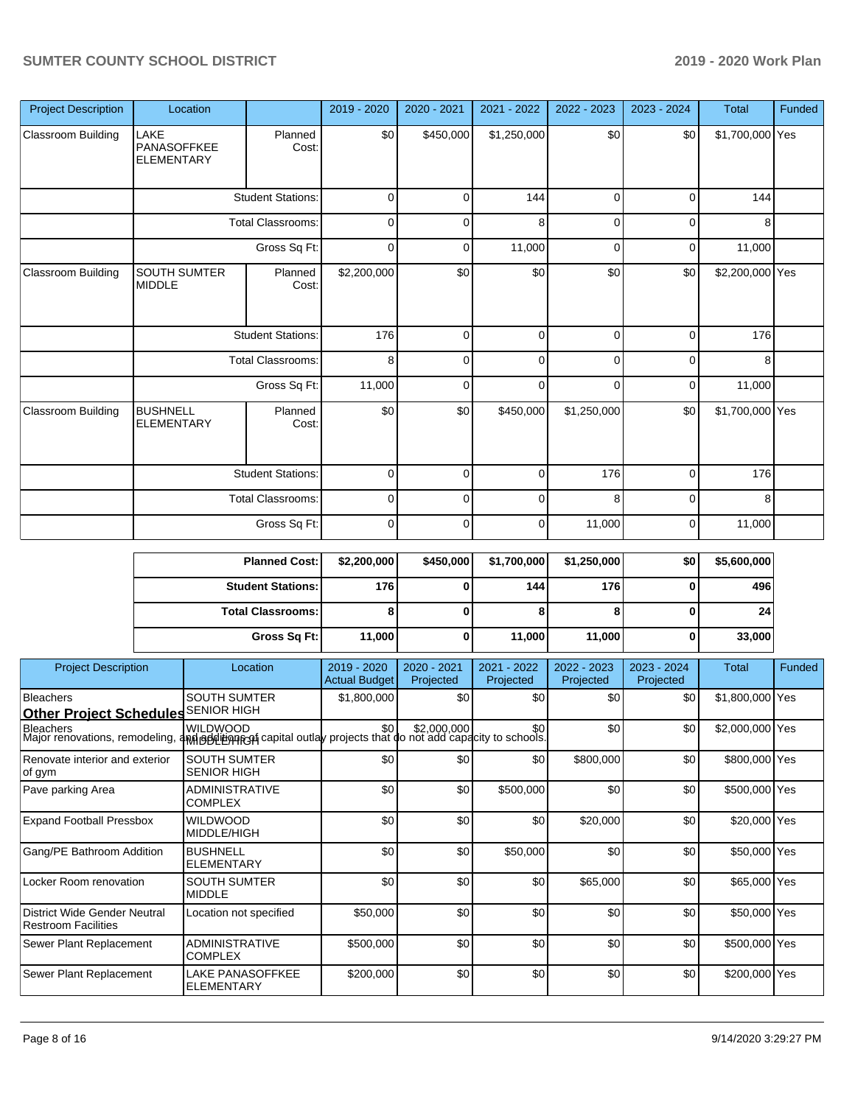| <b>Project Description</b> | Location                                 |                          | 2019 - 2020 | 2020 - 2021 | 2021 - 2022 | 2022 - 2023 | 2023 - 2024 | <b>Total</b>    | Funded |
|----------------------------|------------------------------------------|--------------------------|-------------|-------------|-------------|-------------|-------------|-----------------|--------|
| Classroom Building         | LAKE<br>PANASOFFKEE<br><b>ELEMENTARY</b> | Planned<br>Cost:         | \$0         | \$450,000   | \$1,250,000 | \$0         | \$0         | \$1,700,000 Yes |        |
|                            |                                          | <b>Student Stations:</b> | 0           | 0           | 144         | 0           | 0           | 144             |        |
|                            |                                          | <b>Total Classrooms:</b> | 0           | 0           | 8           | 0           | 0           | 8               |        |
|                            |                                          | Gross Sq Ft:             | 0           | 0           | 11,000      | 0           | 0           | 11,000          |        |
| Classroom Building         | <b>SOUTH SUMTER</b><br><b>MIDDLE</b>     | Planned<br>Cost:         | \$2,200,000 | \$0         | \$0         | \$0         | \$0         | \$2,200,000 Yes |        |
|                            | <b>Student Stations:</b>                 |                          | 176         | 0           | $\mathbf 0$ | 0           | 0           | 176             |        |
|                            |                                          | <b>Total Classrooms:</b> | 8           | 0           | $\mathbf 0$ | $\Omega$    | 0           | 8               |        |
|                            |                                          | Gross Sq Ft:             | 11,000      | $\Omega$    | $\mathbf 0$ | $\Omega$    | 0           | 11,000          |        |
| Classroom Building         | <b>BUSHNELL</b><br><b>ELEMENTARY</b>     | Planned<br>Cost:         | \$0         | \$0         | \$450,000   | \$1,250,000 | \$0         | \$1,700,000 Yes |        |
|                            |                                          | <b>Student Stations:</b> | 0           | $\Omega$    | $\mathbf 0$ | 176         | $\Omega$    | 176             |        |
|                            |                                          | <b>Total Classrooms:</b> | 0           | 0           | 0           | 8           | 0           | 8               |        |
|                            |                                          | Gross Sq Ft:             | 0           | 0           | $\mathbf 0$ | 11,000      | 0           | 11,000          |        |

|                                                                   |              | <b>Planned Cost:</b>                                                                             | \$2,200,000                         | \$450,000                | \$1,700,000              | \$1,250,000              | \$0                      | \$5,600,000     |        |
|-------------------------------------------------------------------|--------------|--------------------------------------------------------------------------------------------------|-------------------------------------|--------------------------|--------------------------|--------------------------|--------------------------|-----------------|--------|
|                                                                   |              | <b>Student Stations:</b>                                                                         | 176                                 | ŋ                        | 144                      | 176                      | U                        | 496             |        |
|                                                                   |              | <b>Total Classrooms:</b>                                                                         | 8                                   | 0                        | 8                        | я                        | 0                        | 24              |        |
|                                                                   | Gross Sq Ft: |                                                                                                  | 11,000                              | 0                        | 11,000                   | 11,000                   | 0                        | 33,000          |        |
| <b>Project Description</b>                                        |              | Location                                                                                         | 2019 - 2020<br><b>Actual Budget</b> | 2020 - 2021<br>Projected | 2021 - 2022<br>Projected | 2022 - 2023<br>Projected | 2023 - 2024<br>Projected | <b>Total</b>    | Funded |
| <b>Bleachers</b><br><b>Other Project Schedules</b>                |              | <b>SOUTH SUMTER</b><br><b>SENIOR HIGH</b>                                                        | \$1,800,000                         | \$0                      | \$0                      | \$0                      | \$0                      | \$1,800,000 Yes |        |
| <b>Bleachers</b><br>Major renovations, remodeling,                |              | <b>WILDWOOD</b><br>4M godition roan capital outlay projects that do not add capacity to schools. | \$0                                 | \$2,000,000              | \$0                      | \$0                      | \$0                      | \$2,000,000 Yes |        |
| Renovate interior and exterior<br>of gym                          |              | <b>SOUTH SUMTER</b><br><b>SENIOR HIGH</b>                                                        | \$0                                 | \$0                      | \$0                      | \$800,000                | \$0                      | \$800,000 Yes   |        |
| Pave parking Area                                                 |              | <b>ADMINISTRATIVE</b><br><b>COMPLEX</b>                                                          | \$0                                 | \$0                      | \$500,000                | \$0                      | \$0                      | \$500,000 Yes   |        |
| <b>Expand Football Pressbox</b>                                   |              | <b>WILDWOOD</b><br>MIDDLE/HIGH                                                                   | \$0                                 | \$0                      | \$0                      | \$20,000                 | \$0                      | \$20,000 Yes    |        |
| Gang/PE Bathroom Addition                                         |              | <b>BUSHNELL</b><br><b>ELEMENTARY</b>                                                             | \$0                                 | \$0                      | \$50,000                 | \$0                      | \$0                      | \$50,000 Yes    |        |
| Locker Room renovation                                            |              | <b>SOUTH SUMTER</b><br><b>MIDDLE</b>                                                             | \$0                                 | \$0                      | \$0                      | \$65,000                 | \$0                      | \$65,000 Yes    |        |
| <b>District Wide Gender Neutral</b><br><b>Restroom Facilities</b> |              | Location not specified                                                                           | \$50,000                            | \$0                      | \$0                      | \$0                      | \$0                      | \$50,000 Yes    |        |
| Sewer Plant Replacement                                           |              | <b>ADMINISTRATIVE</b><br><b>COMPLEX</b>                                                          | \$500,000                           | \$0                      | \$0                      | \$0                      | \$0                      | \$500,000 Yes   |        |
| Sewer Plant Replacement                                           |              | <b>LAKE PANASOFFKEE</b><br><b>ELEMENTARY</b>                                                     | \$200,000                           | \$0                      | \$0                      | \$0                      | \$0                      | \$200,000 Yes   |        |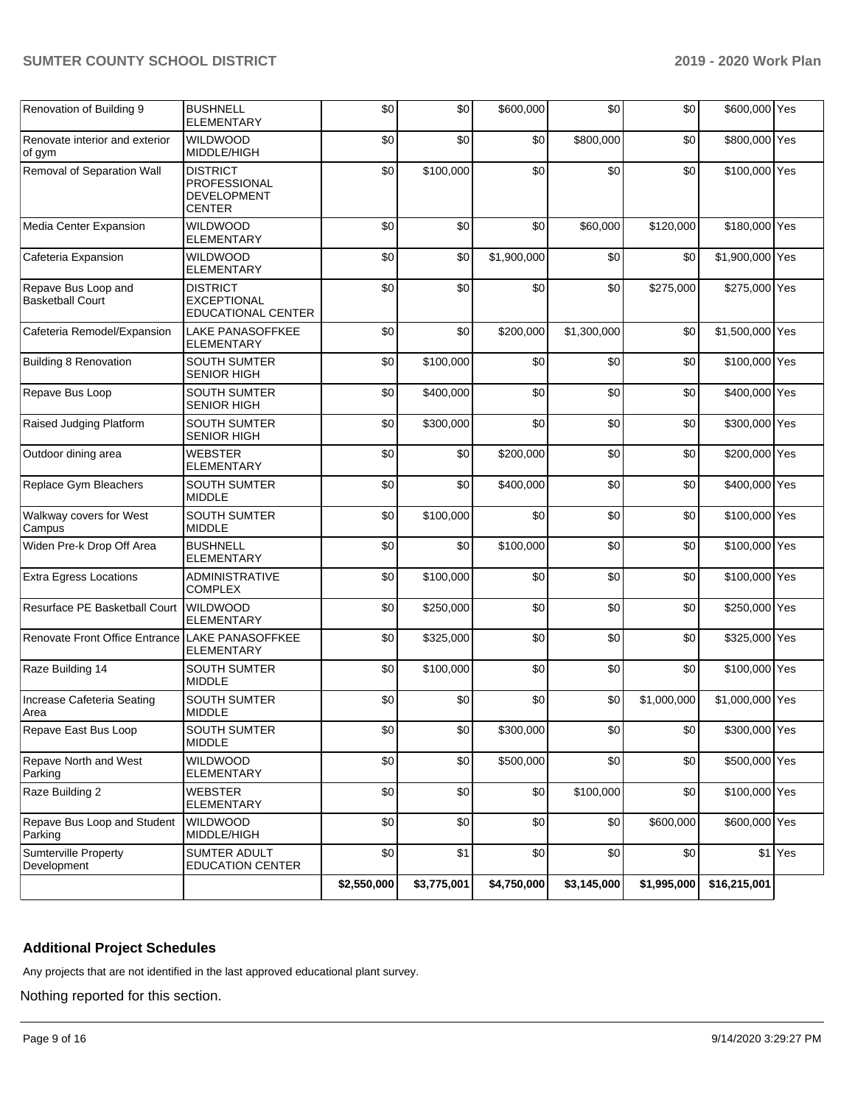### **SUMTER COUNTY SCHOOL DISTRICT 2019 - 2020 Work Plan**

| Renovation of Building 9                       | <b>BUSHNELL</b><br>ELEMENTARY                                          | \$0         | \$0         | \$600,000   | \$0         | \$0         | \$600,000 Yes   |         |
|------------------------------------------------|------------------------------------------------------------------------|-------------|-------------|-------------|-------------|-------------|-----------------|---------|
| Renovate interior and exterior<br>of gym       | <b>WILDWOOD</b><br>MIDDLE/HIGH                                         | \$0         | \$0         | \$0         | \$800,000   | \$0         | \$800,000 Yes   |         |
| Removal of Separation Wall                     | <b>DISTRICT</b><br>PROFESSIONAL<br><b>DEVELOPMENT</b><br><b>CENTER</b> | \$0         | \$100,000   | \$0         | \$0         | \$0         | \$100,000 Yes   |         |
| Media Center Expansion                         | <b>WILDWOOD</b><br><b>ELEMENTARY</b>                                   | \$0         | \$0         | \$0         | \$60,000    | \$120,000   | \$180,000 Yes   |         |
| Cafeteria Expansion                            | <b>WILDWOOD</b><br><b>ELEMENTARY</b>                                   | \$0         | \$0         | \$1,900,000 | \$0         | \$0         | \$1,900,000 Yes |         |
| Repave Bus Loop and<br><b>Basketball Court</b> | <b>DISTRICT</b><br><b>EXCEPTIONAL</b><br><b>EDUCATIONAL CENTER</b>     | \$0         | \$0         | \$0         | \$0         | \$275,000   | \$275,000 Yes   |         |
| Cafeteria Remodel/Expansion                    | LAKE PANASOFFKEE<br>ELEMENTARY                                         | \$0         | \$0         | \$200,000   | \$1,300,000 | \$0         | \$1,500,000 Yes |         |
| Building 8 Renovation                          | <b>SOUTH SUMTER</b><br><b>SENIOR HIGH</b>                              | \$0         | \$100,000   | \$0         | \$0         | \$0         | \$100,000 Yes   |         |
| Repave Bus Loop                                | <b>SOUTH SUMTER</b><br><b>SENIOR HIGH</b>                              | \$0         | \$400,000   | \$0         | \$0         | \$0         | \$400,000 Yes   |         |
| Raised Judging Platform                        | SOUTH SUMTER<br><b>SENIOR HIGH</b>                                     | \$0         | \$300,000   | \$0         | \$0         | \$0         | \$300,000 Yes   |         |
| Outdoor dining area                            | <b>WEBSTER</b><br>ELEMENTARY                                           | \$0         | \$0         | \$200,000   | \$0         | \$0         | \$200,000 Yes   |         |
| Replace Gym Bleachers                          | <b>SOUTH SUMTER</b><br><b>MIDDLE</b>                                   | \$0         | \$0         | \$400,000   | \$0         | \$0         | \$400,000 Yes   |         |
| Walkway covers for West<br>Campus              | SOUTH SUMTER<br><b>MIDDLE</b>                                          | \$0         | \$100,000   | \$0         | \$0         | \$0         | \$100,000 Yes   |         |
| Widen Pre-k Drop Off Area                      | <b>BUSHNELL</b><br>ELEMENTARY                                          | \$0         | \$0         | \$100,000   | \$0         | \$0         | \$100,000 Yes   |         |
| <b>Extra Egress Locations</b>                  | <b>ADMINISTRATIVE</b><br><b>COMPLEX</b>                                | \$0         | \$100,000   | \$0         | \$0         | \$0         | \$100,000 Yes   |         |
| Resurface PE Basketball Court                  | WILDWOOD<br><b>ELEMENTARY</b>                                          | \$0         | \$250,000   | \$0         | \$0         | \$0         | \$250,000 Yes   |         |
| Renovate Front Office Entrance                 | LAKE PANASOFFKEE<br>ELEMENTARY                                         | \$0         | \$325,000   | \$0         | \$0         | \$0         | \$325,000 Yes   |         |
| Raze Building 14                               | <b>SOUTH SUMTER</b><br><b>MIDDLE</b>                                   | \$0         | \$100,000   | \$0         | \$0         | \$0         | \$100,000 Yes   |         |
| Increase Cafeteria Seating<br>Area             | SOUTH SUMTER<br><b>MIDDLE</b>                                          | \$0         | \$0         | \$0         | \$0         | \$1,000,000 | \$1,000,000 Yes |         |
| Repave East Bus Loop                           | <b>SOUTH SUMTER</b><br><b>MIDDLE</b>                                   | \$0         | \$0         | \$300,000   | \$0         | \$0         | \$300,000 Yes   |         |
| Repave North and West<br>Parking               | <b>WILDWOOD</b><br><b>ELEMENTARY</b>                                   | \$0         | \$0         | \$500,000   | \$0         | \$0         | \$500,000 Yes   |         |
| Raze Building 2                                | <b>WEBSTER</b><br><b>ELEMENTARY</b>                                    | \$0         | \$0         | \$0         | \$100,000   | \$0         | \$100,000 Yes   |         |
| Repave Bus Loop and Student<br>Parking         | <b>WILDWOOD</b><br>MIDDLE/HIGH                                         | \$0         | \$0         | \$0         | \$0         | \$600,000   | \$600,000 Yes   |         |
| <b>Sumterville Property</b><br>Development     | SUMTER ADULT<br><b>EDUCATION CENTER</b>                                | \$0         | \$1         | \$0         | \$0         | \$0         |                 | \$1 Yes |
|                                                |                                                                        | \$2,550,000 | \$3,775,001 | \$4,750,000 | \$3,145,000 | \$1,995,000 | \$16,215,001    |         |

## **Additional Project Schedules**

Any projects that are not identified in the last approved educational plant survey.

Nothing reported for this section.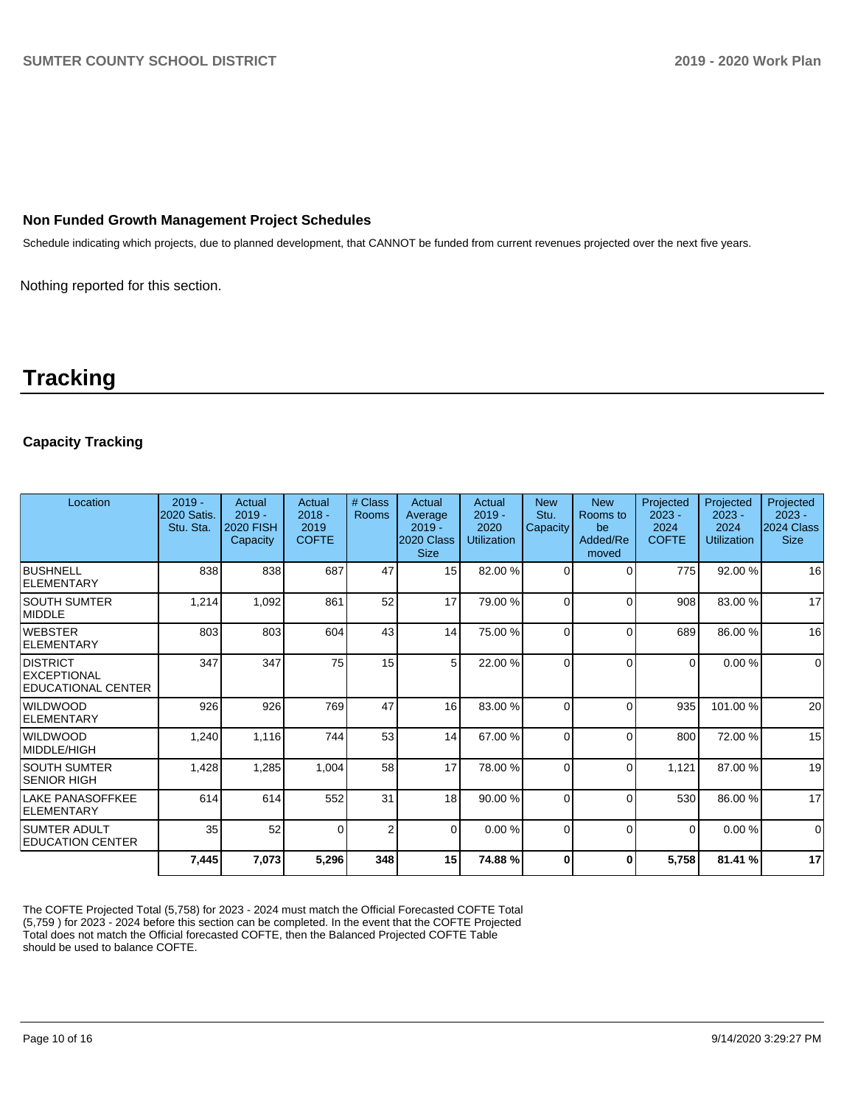#### **Non Funded Growth Management Project Schedules**

Schedule indicating which projects, due to planned development, that CANNOT be funded from current revenues projected over the next five years.

Nothing reported for this section.

# **Tracking**

## **Capacity Tracking**

| Location                                                           | $2019 -$<br>2020 Satis.<br>Stu. Sta. | Actual<br>$2019 -$<br><b>2020 FISH</b><br>Capacity | Actual<br>$2018 -$<br>2019<br><b>COFTE</b> | # Class<br><b>Rooms</b> | Actual<br>Average<br>$2019 -$<br>2020 Class<br><b>Size</b> | Actual<br>$2019 -$<br>2020<br><b>Utilization</b> | <b>New</b><br>Stu.<br>Capacity | <b>New</b><br>Rooms to<br>be<br>Added/Re<br>moved | Projected<br>$2023 -$<br>2024<br><b>COFTE</b> | Projected<br>$2023 -$<br>2024<br><b>Utilization</b> | Projected<br>$2023 -$<br>2024 Class<br><b>Size</b> |
|--------------------------------------------------------------------|--------------------------------------|----------------------------------------------------|--------------------------------------------|-------------------------|------------------------------------------------------------|--------------------------------------------------|--------------------------------|---------------------------------------------------|-----------------------------------------------|-----------------------------------------------------|----------------------------------------------------|
| <b>BUSHNELL</b><br><b>ELEMENTARY</b>                               | 838                                  | 838                                                | 687                                        | 47                      | 15 <sup>1</sup>                                            | 82.00 %                                          | $\Omega$                       | ∩                                                 | 775                                           | 92.00 %                                             | 16                                                 |
| <b>SOUTH SUMTER</b><br><b>MIDDLE</b>                               | 1,214                                | 1,092                                              | 861                                        | 52                      | 17                                                         | 79.00 %                                          | $\Omega$                       | $\Omega$                                          | 908                                           | 83.00 %                                             | 17                                                 |
| <b>WEBSTER</b><br><b>ELEMENTARY</b>                                | 803                                  | 803                                                | 604                                        | 43                      | 14                                                         | 75.00 %                                          | $\Omega$                       | $\sqrt{ }$                                        | 689                                           | 86.00 %                                             | 16                                                 |
| <b>DISTRICT</b><br><b>EXCEPTIONAL</b><br><b>EDUCATIONAL CENTER</b> | 347                                  | 347                                                | 75                                         | 15                      | 5 <sup>1</sup>                                             | 22.00 %                                          | $\Omega$                       | C                                                 | $\Omega$                                      | 0.00%                                               | $\mathbf 0$                                        |
| <b>WILDWOOD</b><br><b>ELEMENTARY</b>                               | 926                                  | 926                                                | 769                                        | 47                      | 16                                                         | 83.00 %                                          | $\Omega$                       | $\Omega$                                          | 935                                           | 101.00%                                             | 20                                                 |
| <b>WILDWOOD</b><br>MIDDLE/HIGH                                     | 1,240                                | 1,116                                              | 744                                        | 53                      | 14                                                         | 67.00 %                                          | $\Omega$                       | $\Omega$                                          | 800                                           | 72.00 %                                             | 15                                                 |
| <b>SOUTH SUMTER</b><br><b>SENIOR HIGH</b>                          | 1,428                                | 1,285                                              | 1,004                                      | 58                      | 17                                                         | 78.00 %                                          | $\Omega$                       | $\Omega$                                          | 1,121                                         | 87.00 %                                             | 19                                                 |
| <b>LAKE PANASOFFKEE</b><br><b>ELEMENTARY</b>                       | 614                                  | 614                                                | 552                                        | 31                      | 18 <sup>1</sup>                                            | 90.00 %                                          | $\Omega$                       | $\Omega$                                          | 530                                           | 86.00 %                                             | 17                                                 |
| <b>SUMTER ADULT</b><br><b>EDUCATION CENTER</b>                     | 35                                   | 52                                                 | $\Omega$                                   | $\overline{2}$          | $\Omega$                                                   | 0.00%                                            | $\Omega$                       | $\Omega$                                          | $\Omega$                                      | 0.00%                                               | $\Omega$                                           |
|                                                                    | 7,445                                | 7,073                                              | 5,296                                      | 348                     | 15 <sup>1</sup>                                            | 74.88%                                           | $\mathbf{0}$                   | 0                                                 | 5,758                                         | 81.41 %                                             | 17                                                 |

The COFTE Projected Total (5,758) for 2023 - 2024 must match the Official Forecasted COFTE Total (5,759 ) for 2023 - 2024 before this section can be completed. In the event that the COFTE Projected Total does not match the Official forecasted COFTE, then the Balanced Projected COFTE Table should be used to balance COFTE.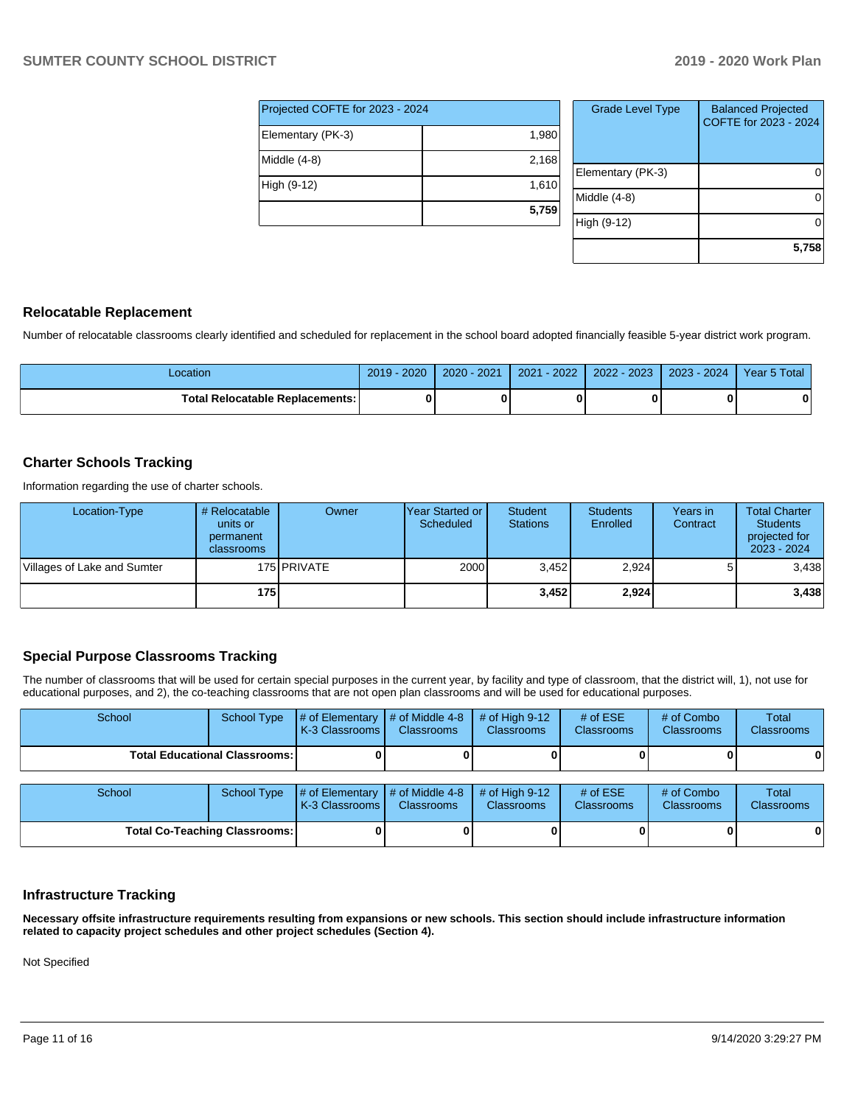| Projected COFTE for 2023 - 2024 |       |  |  |  |  |  |
|---------------------------------|-------|--|--|--|--|--|
| Elementary (PK-3)               | 1,980 |  |  |  |  |  |
| Middle (4-8)                    | 2,168 |  |  |  |  |  |
| High (9-12)                     | 1,610 |  |  |  |  |  |
|                                 | 5,759 |  |  |  |  |  |

| <b>Grade Level Type</b> | <b>Balanced Projected</b><br>COFTE for 2023 - 2024 |
|-------------------------|----------------------------------------------------|
| Elementary (PK-3)       |                                                    |
| Middle (4-8)            |                                                    |
| High (9-12)             |                                                    |
|                         | 5,758                                              |

#### **Relocatable Replacement**

Number of relocatable classrooms clearly identified and scheduled for replacement in the school board adopted financially feasible 5-year district work program.

| -ocation                        | 2020 | 2021     | 2022 | 2023 | 2024 | 5 Total |
|---------------------------------|------|----------|------|------|------|---------|
|                                 | 2019 | $2020 -$ | 2021 | 2022 | 2023 | Year 5  |
| Total Relocatable Replacements: |      |          |      |      |      | O       |

#### **Charter Schools Tracking**

Information regarding the use of charter schools.

| Location-Type               | # Relocatable<br>units or<br>permanent<br>classrooms | Owner         | IYear Started or<br>Scheduled | <b>Student</b><br><b>Stations</b> | <b>Students</b><br>Enrolled | Years in<br>Contract | <b>Total Charter</b><br><b>Students</b><br>projected for<br>2023 - 2024 |
|-----------------------------|------------------------------------------------------|---------------|-------------------------------|-----------------------------------|-----------------------------|----------------------|-------------------------------------------------------------------------|
| Villages of Lake and Sumter |                                                      | 175 I PRIVATE | 2000                          | 3.452                             | 2,924                       |                      | 3,438                                                                   |
|                             | 175                                                  |               |                               | 3.452                             | 2,924                       |                      | 3,438                                                                   |

## **Special Purpose Classrooms Tracking**

The number of classrooms that will be used for certain special purposes in the current year, by facility and type of classroom, that the district will, 1), not use for educational purposes, and 2), the co-teaching classrooms that are not open plan classrooms and will be used for educational purposes.

| School                                 | <b>School Type</b> | # of Elementary<br>K-3 Classrooms | # of Middle 4-8<br><b>Classrooms</b> | # of High $9-12$<br><b>Classrooms</b> | # of $ESE$<br><b>Classrooms</b> | # of Combo<br><b>Classrooms</b> | <b>Total</b><br>Classrooms |
|----------------------------------------|--------------------|-----------------------------------|--------------------------------------|---------------------------------------|---------------------------------|---------------------------------|----------------------------|
| <b>Total Educational Classrooms: I</b> |                    |                                   |                                      |                                       |                                 |                                 | 01                         |
| School                                 | <b>School Type</b> | # of Elementary<br>K-3 Classrooms | # of Middle 4-8<br><b>Classrooms</b> | # of High $9-12$<br><b>Classrooms</b> | # of $ESE$<br>Classrooms        | # of Combo<br><b>Classrooms</b> | <b>Total</b><br>Classrooms |
| <b>Total Co-Teaching Classrooms:</b>   |                    |                                   |                                      |                                       |                                 |                                 | 0                          |

#### **Infrastructure Tracking**

**Necessary offsite infrastructure requirements resulting from expansions or new schools. This section should include infrastructure information related to capacity project schedules and other project schedules (Section 4).** 

Not Specified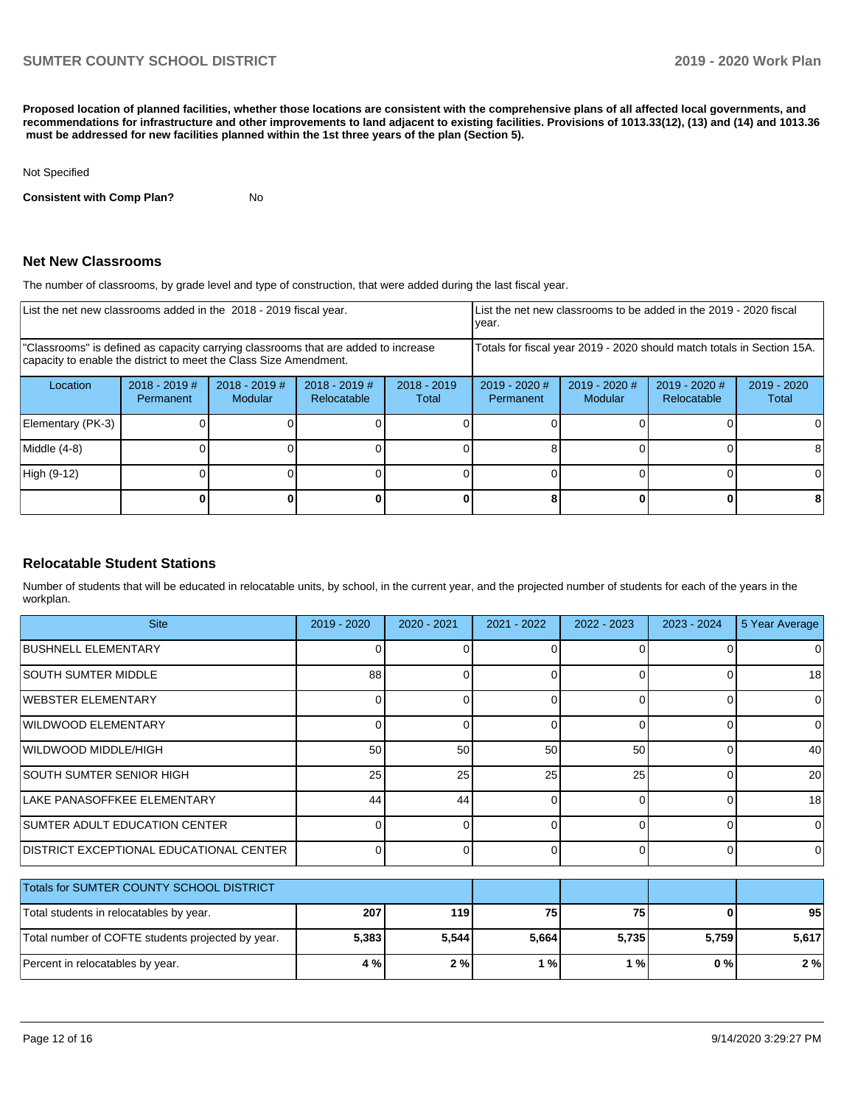**Proposed location of planned facilities, whether those locations are consistent with the comprehensive plans of all affected local governments, and recommendations for infrastructure and other improvements to land adjacent to existing facilities. Provisions of 1013.33(12), (13) and (14) and 1013.36 must be addressed for new facilities planned within the 1st three years of the plan (Section 5).** 

#### Not Specified

**Consistent with Comp Plan?** No

#### **Net New Classrooms**

The number of classrooms, by grade level and type of construction, that were added during the last fiscal year.

| List the net new classrooms added in the 2018 - 2019 fiscal year.                                                                                       | List the net new classrooms to be added in the 2019 - 2020 fiscal<br>year. |                                   |                                |                        |                                                                        |                            |                                |                        |
|---------------------------------------------------------------------------------------------------------------------------------------------------------|----------------------------------------------------------------------------|-----------------------------------|--------------------------------|------------------------|------------------------------------------------------------------------|----------------------------|--------------------------------|------------------------|
| "Classrooms" is defined as capacity carrying classrooms that are added to increase<br>capacity to enable the district to meet the Class Size Amendment. |                                                                            |                                   |                                |                        | Totals for fiscal year 2019 - 2020 should match totals in Section 15A. |                            |                                |                        |
| Location                                                                                                                                                | $2018 - 2019$ #<br>Permanent                                               | $2018 - 2019$ #<br><b>Modular</b> | $2018 - 2019$ #<br>Relocatable | $2018 - 2019$<br>Total | 2019 - 2020 #<br>Permanent                                             | $2019 - 2020$ #<br>Modular | $2019 - 2020$ #<br>Relocatable | $2019 - 2020$<br>Total |
| Elementary (PK-3)                                                                                                                                       |                                                                            |                                   |                                |                        |                                                                        |                            |                                | 0                      |
| Middle (4-8)                                                                                                                                            |                                                                            |                                   |                                |                        |                                                                        |                            |                                | 8                      |
| High (9-12)                                                                                                                                             |                                                                            |                                   |                                |                        |                                                                        |                            |                                | $\Omega$               |
|                                                                                                                                                         |                                                                            |                                   |                                |                        |                                                                        |                            |                                | 8                      |

#### **Relocatable Student Stations**

Number of students that will be educated in relocatable units, by school, in the current year, and the projected number of students for each of the years in the workplan.

| <b>Site</b>                                     | $2019 - 2020$ | $2020 - 2021$ | 2021 - 2022 | 2022 - 2023 | $2023 - 2024$ | 5 Year Average |
|-------------------------------------------------|---------------|---------------|-------------|-------------|---------------|----------------|
| BUSHNELL ELEMENTARY                             |               |               | ΩI          |             |               | 0              |
| <b>SOUTH SUMTER MIDDLE</b>                      | 88            |               | ΩI          |             |               | 18             |
| IWEBSTER ELEMENTARY                             |               |               | $\Omega$    |             |               | 0              |
| WILDWOOD ELEMENTARY                             |               |               | ΩI          |             |               | $\Omega$       |
| WILDWOOD MIDDLE/HIGH                            | 50            | 50            | 50          | 50          |               | 40             |
| ISOUTH SUMTER SENIOR HIGH                       | 25            | 25            | 25          | 25          |               | <b>20</b>      |
| LAKE PANASOFFKEE ELEMENTARY                     | 44            | 44            | ΩI          | ∩           |               | 18             |
| SUMTER ADULT EDUCATION CENTER                   |               |               | ΩI          | ∩           |               | $\Omega$       |
| <b>IDISTRICT EXCEPTIONAL EDUCATIONAL CENTER</b> |               |               | ΩI          | O           |               | $\Omega$       |

| Totals for SUMTER COUNTY SCHOOL DISTRICT          |       |       |       |       |       |       |
|---------------------------------------------------|-------|-------|-------|-------|-------|-------|
| Total students in relocatables by year.           | 207   | 119   | 75    | 75    |       | 95    |
| Total number of COFTE students projected by year. | 5,383 | 5.544 | 5.664 | 5.735 | 5.759 | 5.617 |
| Percent in relocatables by year.                  | 4 % I | 2%    | ' %   | ' % ເ | 0 % I | 2 %   |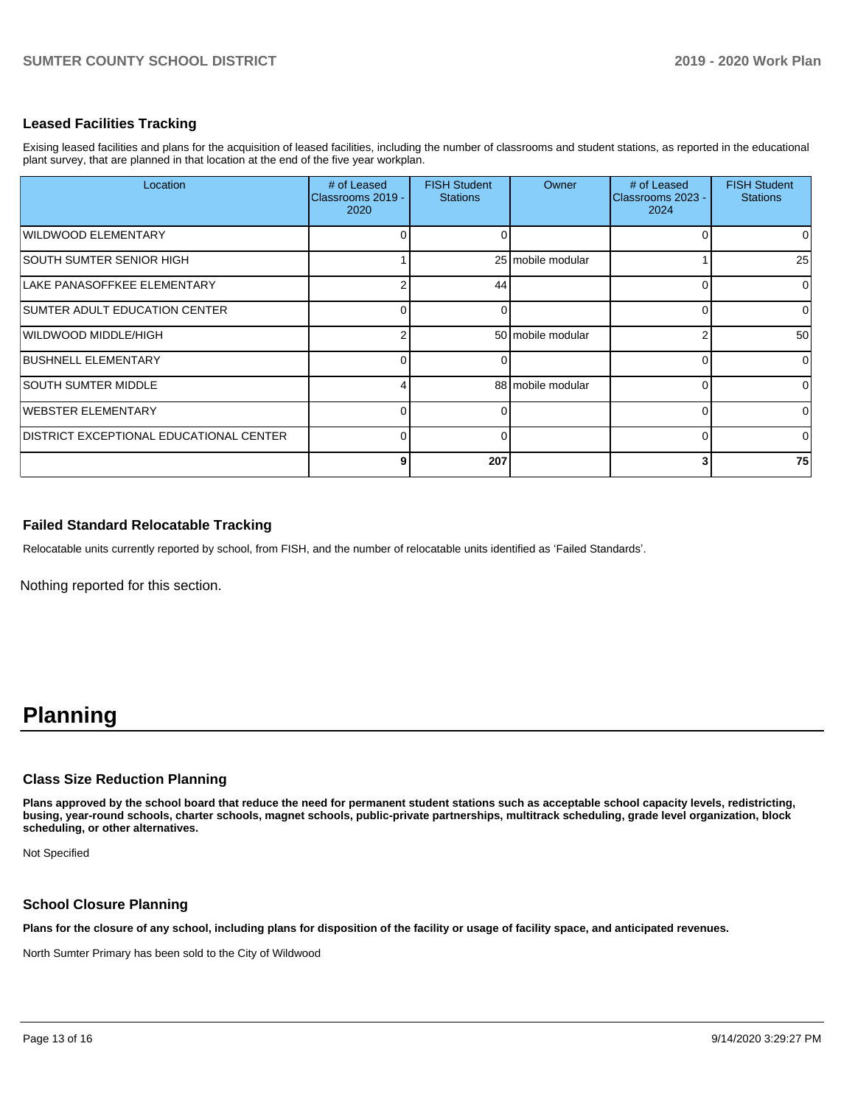#### **Leased Facilities Tracking**

Exising leased facilities and plans for the acquisition of leased facilities, including the number of classrooms and student stations, as reported in the educational plant survey, that are planned in that location at the end of the five year workplan.

| Location                                | # of Leased<br>Classrooms 2019 -<br>2020 | <b>FISH Student</b><br><b>Stations</b> | Owner             | # of Leased<br>Classrooms 2023 -<br>2024 | <b>FISH Student</b><br><b>Stations</b> |
|-----------------------------------------|------------------------------------------|----------------------------------------|-------------------|------------------------------------------|----------------------------------------|
| WILDWOOD ELEMENTARY                     | 0                                        | O                                      |                   |                                          | $\Omega$                               |
| SOUTH SUMTER SENIOR HIGH                |                                          |                                        | 25 mobile modular |                                          | 25                                     |
| LAKE PANASOFFKEE ELEMENTARY             | 2                                        | 44                                     |                   |                                          | $\Omega$                               |
| SUMTER ADULT EDUCATION CENTER           | 0                                        | $\Omega$                               |                   |                                          | $\overline{0}$                         |
| WILDWOOD MIDDLE/HIGH                    | 2                                        |                                        | 50 mobile modular |                                          | 50                                     |
| <b>BUSHNELL ELEMENTARY</b>              | 0                                        | 0                                      |                   |                                          | $\overline{0}$                         |
| <b>SOUTH SUMTER MIDDLE</b>              |                                          |                                        | 88 mobile modular |                                          | $\overline{0}$                         |
| WEBSTER ELEMENTARY                      | $\Omega$                                 | $\Omega$                               |                   |                                          | $\overline{0}$                         |
| DISTRICT EXCEPTIONAL EDUCATIONAL CENTER | $\Omega$                                 | $\Omega$                               |                   |                                          | $\Omega$                               |
|                                         | 9                                        | 207                                    |                   |                                          | 75                                     |

#### **Failed Standard Relocatable Tracking**

Relocatable units currently reported by school, from FISH, and the number of relocatable units identified as 'Failed Standards'.

Nothing reported for this section.

# **Planning**

#### **Class Size Reduction Planning**

**Plans approved by the school board that reduce the need for permanent student stations such as acceptable school capacity levels, redistricting, busing, year-round schools, charter schools, magnet schools, public-private partnerships, multitrack scheduling, grade level organization, block scheduling, or other alternatives.**

Not Specified

#### **School Closure Planning**

**Plans for the closure of any school, including plans for disposition of the facility or usage of facility space, and anticipated revenues.** 

North Sumter Primary has been sold to the City of Wildwood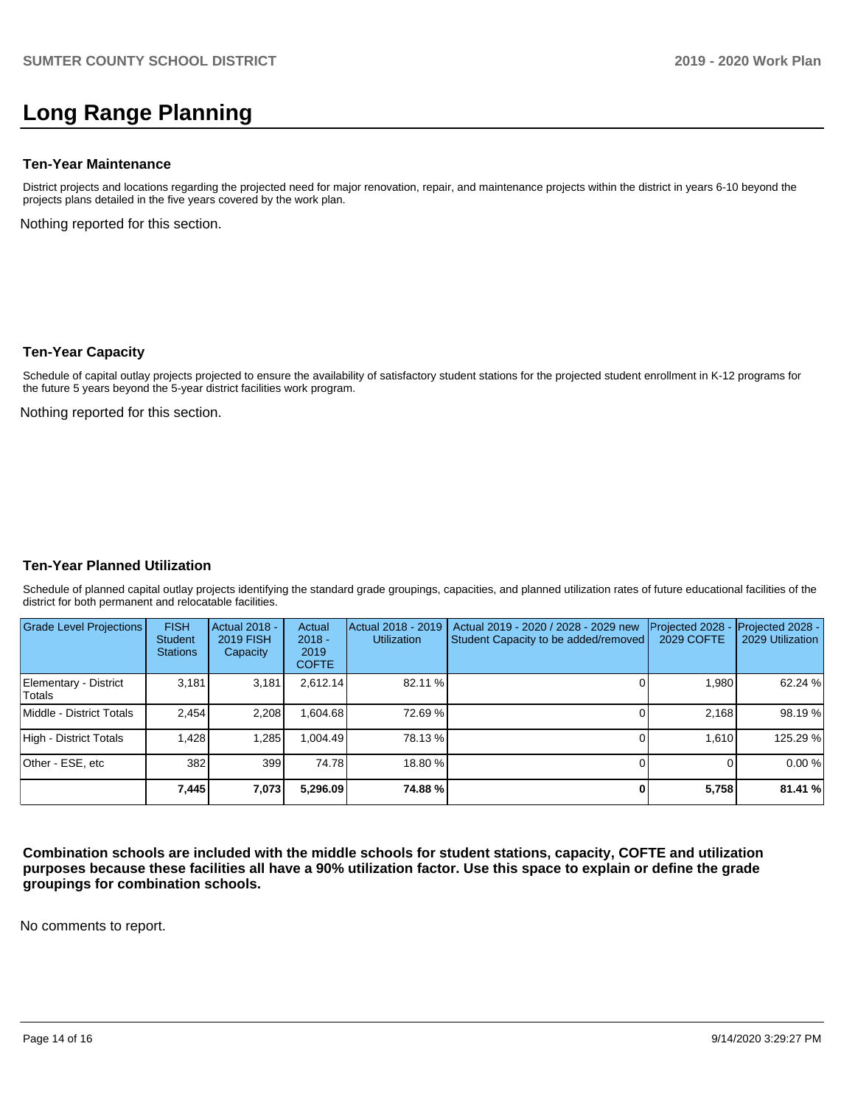# **Long Range Planning**

#### **Ten-Year Maintenance**

District projects and locations regarding the projected need for major renovation, repair, and maintenance projects within the district in years 6-10 beyond the projects plans detailed in the five years covered by the work plan.

Nothing reported for this section.

#### **Ten-Year Capacity**

Schedule of capital outlay projects projected to ensure the availability of satisfactory student stations for the projected student enrollment in K-12 programs for the future 5 years beyond the 5-year district facilities work program.

Nothing reported for this section.

#### **Ten-Year Planned Utilization**

Schedule of planned capital outlay projects identifying the standard grade groupings, capacities, and planned utilization rates of future educational facilities of the district for both permanent and relocatable facilities.

| <b>Grade Level Projections</b>   | <b>FISH</b><br><b>Student</b><br><b>Stations</b> | Actual 2018 -<br><b>2019 FISH</b><br>Capacity | Actual<br>$2018 -$<br>2019<br><b>COFTE</b> | Actual 2018 - 2019<br><b>Utilization</b> | Actual 2019 - 2020 / 2028 - 2029 new<br>Student Capacity to be added/removed | Projected 2028<br>2029 COFTE | Projected 2028 -<br>2029 Utilization |
|----------------------------------|--------------------------------------------------|-----------------------------------------------|--------------------------------------------|------------------------------------------|------------------------------------------------------------------------------|------------------------------|--------------------------------------|
| Elementary - District<br>lTotals | 3.181                                            | 3,181                                         | 2,612.14                                   | 82.11 %                                  |                                                                              | 1,980                        | 62.24 %                              |
| Middle - District Totals         | 2.454                                            | 2,208                                         | .604.68                                    | 72.69%                                   |                                                                              | 2.168                        | 98.19 %                              |
| High - District Totals           | 1.428                                            | 1,285                                         | .004.49                                    | 78.13 %                                  |                                                                              | 1.610                        | 125.29 %                             |
| Other - ESE. etc                 | 382                                              | 399                                           | 74.78                                      | 18.80 %                                  |                                                                              |                              | 0.00%                                |
|                                  | 7,445                                            | 7,073                                         | 5,296.09                                   | 74.88%                                   |                                                                              | 5,758                        | 81.41 %                              |

**Combination schools are included with the middle schools for student stations, capacity, COFTE and utilization purposes because these facilities all have a 90% utilization factor. Use this space to explain or define the grade groupings for combination schools.** 

No comments to report.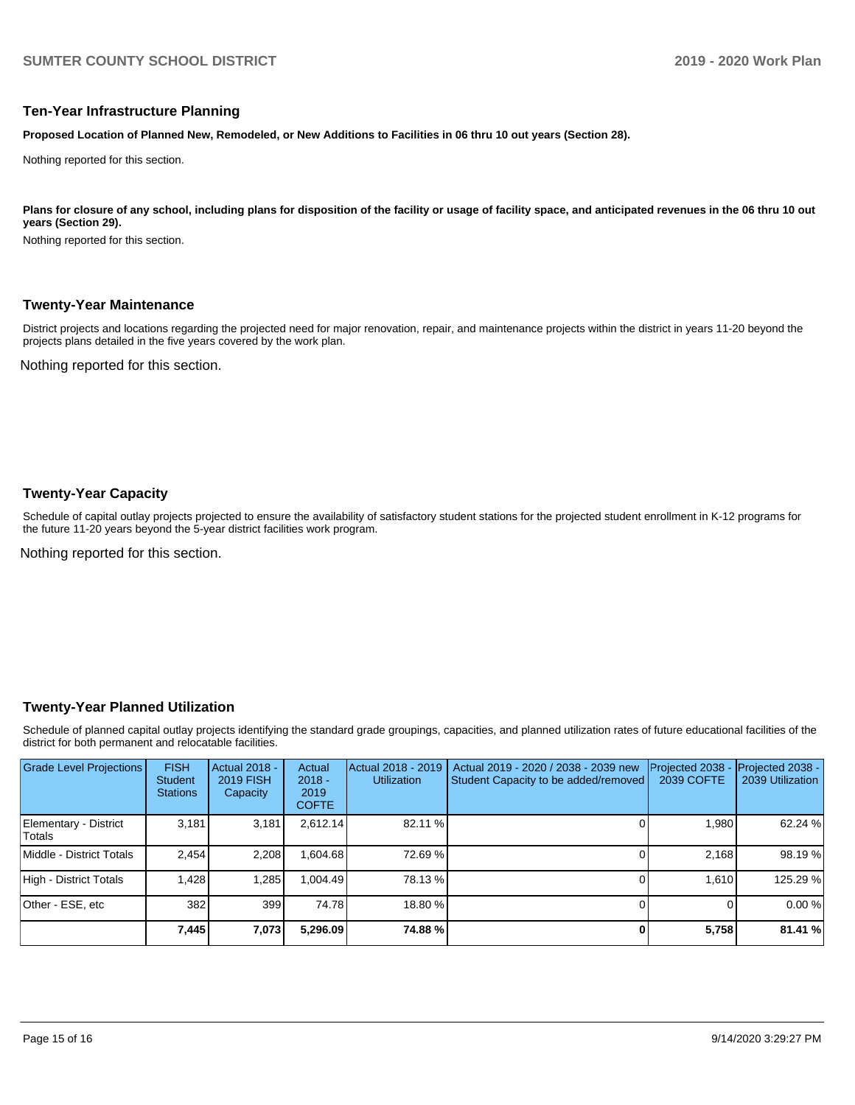#### **Ten-Year Infrastructure Planning**

**Proposed Location of Planned New, Remodeled, or New Additions to Facilities in 06 thru 10 out years (Section 28).**

Nothing reported for this section.

#### Plans for closure of any school, including plans for disposition of the facility or usage of facility space, and anticipated revenues in the 06 thru 10 out **years (Section 29).**

Nothing reported for this section.

#### **Twenty-Year Maintenance**

District projects and locations regarding the projected need for major renovation, repair, and maintenance projects within the district in years 11-20 beyond the projects plans detailed in the five years covered by the work plan.

Nothing reported for this section.

#### **Twenty-Year Capacity**

Schedule of capital outlay projects projected to ensure the availability of satisfactory student stations for the projected student enrollment in K-12 programs for the future 11-20 years beyond the 5-year district facilities work program.

Nothing reported for this section.

#### **Twenty-Year Planned Utilization**

Schedule of planned capital outlay projects identifying the standard grade groupings, capacities, and planned utilization rates of future educational facilities of the district for both permanent and relocatable facilities.

| <b>Grade Level Projections</b>   | <b>FISH</b><br>Student<br><b>Stations</b> | <b>Actual 2018 -</b><br><b>2019 FISH</b><br>Capacity | Actual<br>$2018 -$<br>2019<br><b>COFTE</b> | Actual 2018 - 2019<br><b>Utilization</b> | Actual 2019 - 2020 / 2038 - 2039 new<br>Student Capacity to be added/removed | Projected 2038<br>2039 COFTE | Projected 2038 -<br>2039 Utilization |
|----------------------------------|-------------------------------------------|------------------------------------------------------|--------------------------------------------|------------------------------------------|------------------------------------------------------------------------------|------------------------------|--------------------------------------|
| Elementary - District<br> Totals | 3.181                                     | 3,181                                                | 2.612.14                                   | 82.11 %                                  |                                                                              | 1.980                        | 62.24 %                              |
| Middle - District Totals         | 2.454                                     | 2.208                                                | .604.68                                    | 72.69%                                   |                                                                              | 2.168                        | 98.19%                               |
| High - District Totals           | 1.428                                     | 1.285                                                | .004.49                                    | 78.13 %                                  |                                                                              | 1.610                        | 125.29 %                             |
| Other - ESE, etc                 | 382                                       | 399                                                  | 74.78                                      | 18.80 %                                  |                                                                              |                              | 0.00%                                |
|                                  | 7,445                                     | 7,073                                                | 5,296.09                                   | 74.88%                                   |                                                                              | 5,758                        | 81.41 %                              |